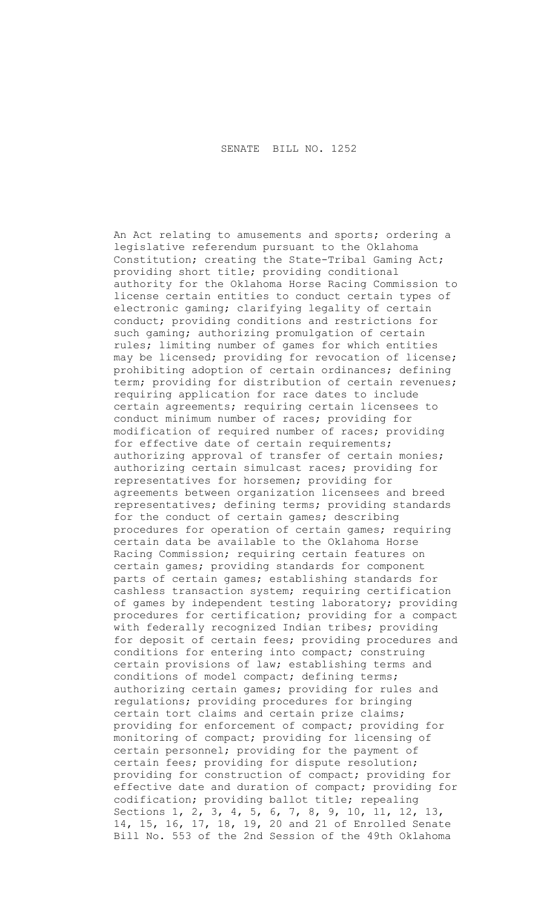An Act relating to amusements and sports; ordering a legislative referendum pursuant to the Oklahoma Constitution; creating the State-Tribal Gaming Act; providing short title; providing conditional authority for the Oklahoma Horse Racing Commission to license certain entities to conduct certain types of electronic gaming; clarifying legality of certain conduct; providing conditions and restrictions for such gaming; authorizing promulgation of certain rules; limiting number of games for which entities may be licensed; providing for revocation of license; prohibiting adoption of certain ordinances; defining term; providing for distribution of certain revenues; requiring application for race dates to include certain agreements; requiring certain licensees to conduct minimum number of races; providing for modification of required number of races; providing for effective date of certain requirements; authorizing approval of transfer of certain monies; authorizing certain simulcast races; providing for representatives for horsemen; providing for agreements between organization licensees and breed representatives; defining terms; providing standards for the conduct of certain games; describing procedures for operation of certain games; requiring certain data be available to the Oklahoma Horse Racing Commission; requiring certain features on certain games; providing standards for component parts of certain games; establishing standards for cashless transaction system; requiring certification of games by independent testing laboratory; providing procedures for certification; providing for a compact with federally recognized Indian tribes; providing for deposit of certain fees; providing procedures and conditions for entering into compact; construing certain provisions of law; establishing terms and conditions of model compact; defining terms; authorizing certain games; providing for rules and regulations; providing procedures for bringing certain tort claims and certain prize claims; providing for enforcement of compact; providing for monitoring of compact; providing for licensing of certain personnel; providing for the payment of certain fees; providing for dispute resolution; providing for construction of compact; providing for effective date and duration of compact; providing for codification; providing ballot title; repealing Sections 1, 2, 3, 4, 5, 6, 7, 8, 9, 10, 11, 12, 13, 14, 15, 16, 17, 18, 19, 20 and 21 of Enrolled Senate Bill No. 553 of the 2nd Session of the 49th Oklahoma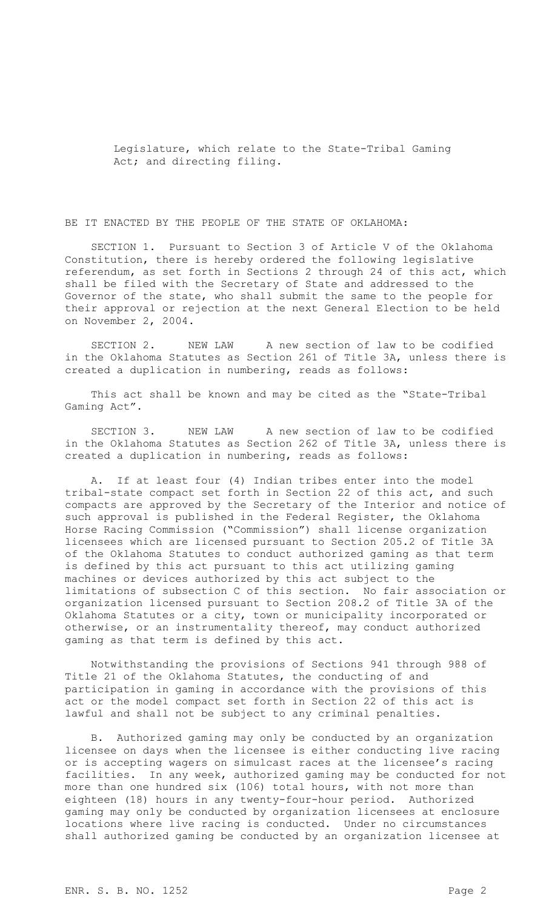Legislature, which relate to the State-Tribal Gaming Act; and directing filing.

BE IT ENACTED BY THE PEOPLE OF THE STATE OF OKLAHOMA:

SECTION 1. Pursuant to Section 3 of Article V of the Oklahoma Constitution, there is hereby ordered the following legislative referendum, as set forth in Sections 2 through 24 of this act, which shall be filed with the Secretary of State and addressed to the Governor of the state, who shall submit the same to the people for their approval or rejection at the next General Election to be held on November 2, 2004.

SECTION 2. NEW LAW A new section of law to be codified in the Oklahoma Statutes as Section 261 of Title 3A, unless there is created a duplication in numbering, reads as follows:

This act shall be known and may be cited as the "State-Tribal Gaming Act".

SECTION 3. NEW LAW A new section of law to be codified in the Oklahoma Statutes as Section 262 of Title 3A, unless there is created a duplication in numbering, reads as follows:

A. If at least four (4) Indian tribes enter into the model tribal-state compact set forth in Section 22 of this act, and such compacts are approved by the Secretary of the Interior and notice of such approval is published in the Federal Register, the Oklahoma Horse Racing Commission ("Commission") shall license organization licensees which are licensed pursuant to Section 205.2 of Title 3A of the Oklahoma Statutes to conduct authorized gaming as that term is defined by this act pursuant to this act utilizing gaming machines or devices authorized by this act subject to the limitations of subsection C of this section. No fair association or organization licensed pursuant to Section 208.2 of Title 3A of the Oklahoma Statutes or a city, town or municipality incorporated or otherwise, or an instrumentality thereof, may conduct authorized gaming as that term is defined by this act.

Notwithstanding the provisions of Sections 941 through 988 of Title 21 of the Oklahoma Statutes, the conducting of and participation in gaming in accordance with the provisions of this act or the model compact set forth in Section 22 of this act is lawful and shall not be subject to any criminal penalties.

B. Authorized gaming may only be conducted by an organization licensee on days when the licensee is either conducting live racing or is accepting wagers on simulcast races at the licensee's racing facilities. In any week, authorized gaming may be conducted for not more than one hundred six (106) total hours, with not more than eighteen (18) hours in any twenty-four-hour period. Authorized gaming may only be conducted by organization licensees at enclosure locations where live racing is conducted. Under no circumstances shall authorized gaming be conducted by an organization licensee at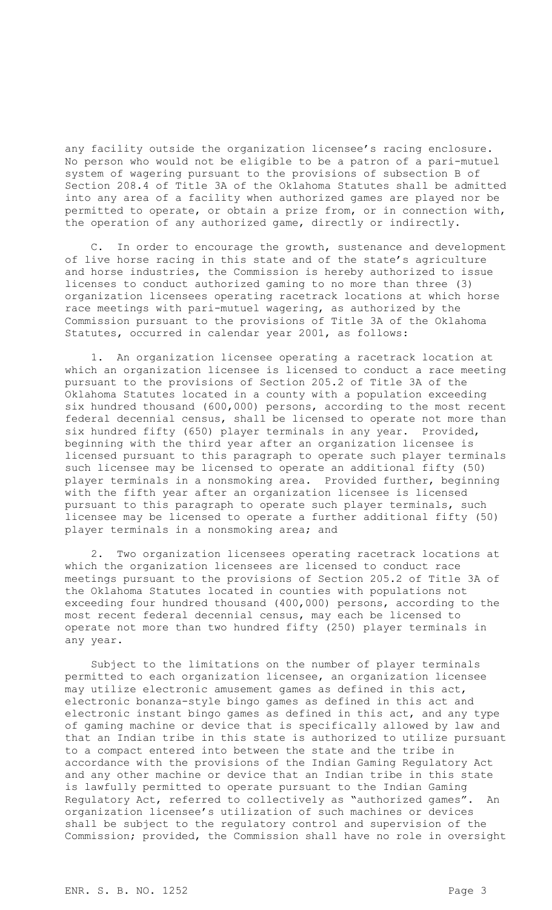any facility outside the organization licensee's racing enclosure. No person who would not be eligible to be a patron of a pari-mutuel system of wagering pursuant to the provisions of subsection B of Section 208.4 of Title 3A of the Oklahoma Statutes shall be admitted into any area of a facility when authorized games are played nor be permitted to operate, or obtain a prize from, or in connection with, the operation of any authorized game, directly or indirectly.

C. In order to encourage the growth, sustenance and development of live horse racing in this state and of the state's agriculture and horse industries, the Commission is hereby authorized to issue licenses to conduct authorized gaming to no more than three (3) organization licensees operating racetrack locations at which horse race meetings with pari-mutuel wagering, as authorized by the Commission pursuant to the provisions of Title 3A of the Oklahoma Statutes, occurred in calendar year 2001, as follows:

1. An organization licensee operating a racetrack location at which an organization licensee is licensed to conduct a race meeting pursuant to the provisions of Section 205.2 of Title 3A of the Oklahoma Statutes located in a county with a population exceeding six hundred thousand (600,000) persons, according to the most recent federal decennial census, shall be licensed to operate not more than six hundred fifty (650) player terminals in any year. Provided, beginning with the third year after an organization licensee is licensed pursuant to this paragraph to operate such player terminals such licensee may be licensed to operate an additional fifty (50) player terminals in a nonsmoking area. Provided further, beginning with the fifth year after an organization licensee is licensed pursuant to this paragraph to operate such player terminals, such licensee may be licensed to operate a further additional fifty (50) player terminals in a nonsmoking area; and

2. Two organization licensees operating racetrack locations at which the organization licensees are licensed to conduct race meetings pursuant to the provisions of Section 205.2 of Title 3A of the Oklahoma Statutes located in counties with populations not exceeding four hundred thousand (400,000) persons, according to the most recent federal decennial census, may each be licensed to operate not more than two hundred fifty (250) player terminals in any year.

Subject to the limitations on the number of player terminals permitted to each organization licensee, an organization licensee may utilize electronic amusement games as defined in this act, electronic bonanza-style bingo games as defined in this act and electronic instant bingo games as defined in this act, and any type of gaming machine or device that is specifically allowed by law and that an Indian tribe in this state is authorized to utilize pursuant to a compact entered into between the state and the tribe in accordance with the provisions of the Indian Gaming Regulatory Act and any other machine or device that an Indian tribe in this state is lawfully permitted to operate pursuant to the Indian Gaming Regulatory Act, referred to collectively as "authorized games". An organization licensee's utilization of such machines or devices shall be subject to the regulatory control and supervision of the Commission; provided, the Commission shall have no role in oversight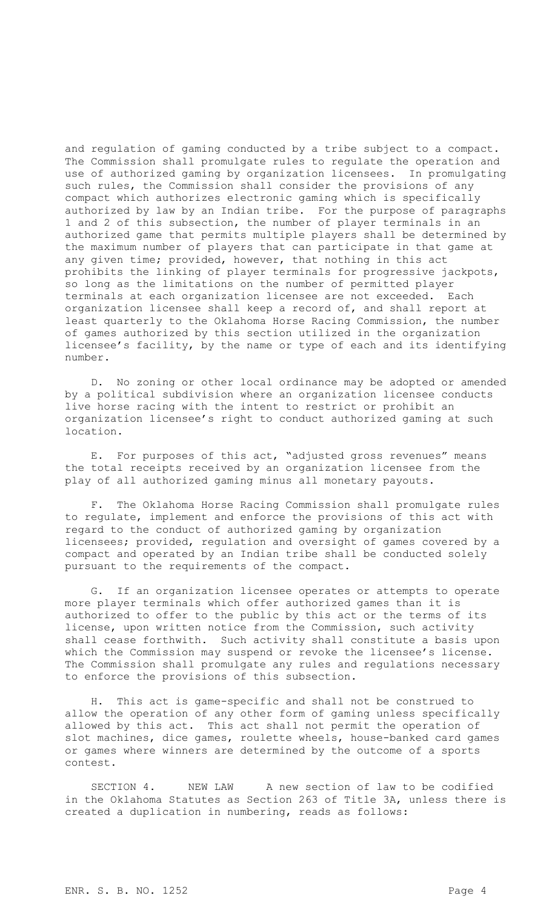and regulation of gaming conducted by a tribe subject to a compact. The Commission shall promulgate rules to regulate the operation and use of authorized gaming by organization licensees. In promulgating such rules, the Commission shall consider the provisions of any compact which authorizes electronic gaming which is specifically authorized by law by an Indian tribe. For the purpose of paragraphs 1 and 2 of this subsection, the number of player terminals in an authorized game that permits multiple players shall be determined by the maximum number of players that can participate in that game at any given time; provided, however, that nothing in this act prohibits the linking of player terminals for progressive jackpots, so long as the limitations on the number of permitted player terminals at each organization licensee are not exceeded. Each organization licensee shall keep a record of, and shall report at least quarterly to the Oklahoma Horse Racing Commission, the number of games authorized by this section utilized in the organization licensee's facility, by the name or type of each and its identifying number.

D. No zoning or other local ordinance may be adopted or amended by a political subdivision where an organization licensee conducts live horse racing with the intent to restrict or prohibit an organization licensee's right to conduct authorized gaming at such location.

E. For purposes of this act, "adjusted gross revenues" means the total receipts received by an organization licensee from the play of all authorized gaming minus all monetary payouts.

F. The Oklahoma Horse Racing Commission shall promulgate rules to regulate, implement and enforce the provisions of this act with regard to the conduct of authorized gaming by organization licensees; provided, regulation and oversight of games covered by a compact and operated by an Indian tribe shall be conducted solely pursuant to the requirements of the compact.

G. If an organization licensee operates or attempts to operate more player terminals which offer authorized games than it is authorized to offer to the public by this act or the terms of its license, upon written notice from the Commission, such activity shall cease forthwith. Such activity shall constitute a basis upon which the Commission may suspend or revoke the licensee's license. The Commission shall promulgate any rules and regulations necessary to enforce the provisions of this subsection.

H. This act is game-specific and shall not be construed to allow the operation of any other form of gaming unless specifically allowed by this act. This act shall not permit the operation of slot machines, dice games, roulette wheels, house-banked card games or games where winners are determined by the outcome of a sports contest.

SECTION 4. NEW LAW A new section of law to be codified in the Oklahoma Statutes as Section 263 of Title 3A, unless there is created a duplication in numbering, reads as follows: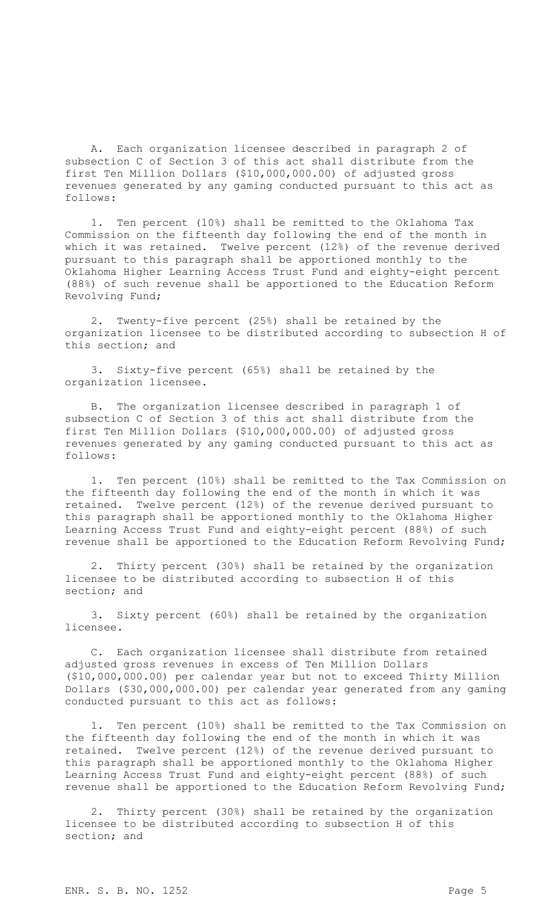A. Each organization licensee described in paragraph 2 of subsection C of Section 3 of this act shall distribute from the first Ten Million Dollars (\$10,000,000.00) of adjusted gross revenues generated by any gaming conducted pursuant to this act as follows:

1. Ten percent (10%) shall be remitted to the Oklahoma Tax Commission on the fifteenth day following the end of the month in which it was retained. Twelve percent (12%) of the revenue derived pursuant to this paragraph shall be apportioned monthly to the Oklahoma Higher Learning Access Trust Fund and eighty-eight percent (88%) of such revenue shall be apportioned to the Education Reform Revolving Fund;

2. Twenty-five percent (25%) shall be retained by the organization licensee to be distributed according to subsection H of this section; and

3. Sixty-five percent (65%) shall be retained by the organization licensee.

B. The organization licensee described in paragraph 1 of subsection C of Section 3 of this act shall distribute from the first Ten Million Dollars (\$10,000,000.00) of adjusted gross revenues generated by any gaming conducted pursuant to this act as follows:

1. Ten percent (10%) shall be remitted to the Tax Commission on the fifteenth day following the end of the month in which it was retained. Twelve percent (12%) of the revenue derived pursuant to this paragraph shall be apportioned monthly to the Oklahoma Higher Learning Access Trust Fund and eighty-eight percent (88%) of such revenue shall be apportioned to the Education Reform Revolving Fund;

2. Thirty percent (30%) shall be retained by the organization licensee to be distributed according to subsection H of this section; and

3. Sixty percent (60%) shall be retained by the organization licensee.

C. Each organization licensee shall distribute from retained adjusted gross revenues in excess of Ten Million Dollars (\$10,000,000.00) per calendar year but not to exceed Thirty Million Dollars (\$30,000,000.00) per calendar year generated from any gaming conducted pursuant to this act as follows:

Ten percent (10%) shall be remitted to the Tax Commission on the fifteenth day following the end of the month in which it was retained. Twelve percent (12%) of the revenue derived pursuant to this paragraph shall be apportioned monthly to the Oklahoma Higher Learning Access Trust Fund and eighty-eight percent (88%) of such revenue shall be apportioned to the Education Reform Revolving Fund;

2. Thirty percent (30%) shall be retained by the organization licensee to be distributed according to subsection H of this section; and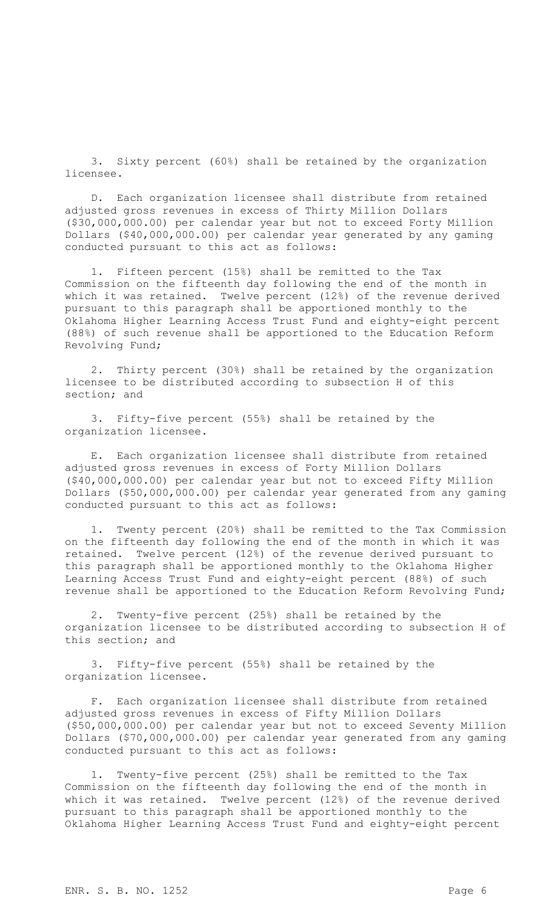3. Sixty percent (60%) shall be retained by the organization licensee.

D. Each organization licensee shall distribute from retained adjusted gross revenues in excess of Thirty Million Dollars (\$30,000,000.00) per calendar year but not to exceed Forty Million Dollars (\$40,000,000.00) per calendar year generated by any gaming conducted pursuant to this act as follows:

1. Fifteen percent (15%) shall be remitted to the Tax Commission on the fifteenth day following the end of the month in which it was retained. Twelve percent (12%) of the revenue derived pursuant to this paragraph shall be apportioned monthly to the Oklahoma Higher Learning Access Trust Fund and eighty-eight percent (88%) of such revenue shall be apportioned to the Education Reform Revolving Fund;

2. Thirty percent (30%) shall be retained by the organization licensee to be distributed according to subsection H of this section; and

3. Fifty-five percent (55%) shall be retained by the organization licensee.

E. Each organization licensee shall distribute from retained adjusted gross revenues in excess of Forty Million Dollars (\$40,000,000.00) per calendar year but not to exceed Fifty Million Dollars (\$50,000,000.00) per calendar year generated from any gaming conducted pursuant to this act as follows:

1. Twenty percent (20%) shall be remitted to the Tax Commission on the fifteenth day following the end of the month in which it was retained. Twelve percent (12%) of the revenue derived pursuant to this paragraph shall be apportioned monthly to the Oklahoma Higher Learning Access Trust Fund and eighty-eight percent (88%) of such revenue shall be apportioned to the Education Reform Revolving Fund;

Twenty-five percent (25%) shall be retained by the organization licensee to be distributed according to subsection H of this section; and

3. Fifty-five percent (55%) shall be retained by the organization licensee.

F. Each organization licensee shall distribute from retained adjusted gross revenues in excess of Fifty Million Dollars (\$50,000,000.00) per calendar year but not to exceed Seventy Million Dollars (\$70,000,000.00) per calendar year generated from any gaming conducted pursuant to this act as follows:

1. Twenty-five percent (25%) shall be remitted to the Tax Commission on the fifteenth day following the end of the month in which it was retained. Twelve percent (12%) of the revenue derived pursuant to this paragraph shall be apportioned monthly to the Oklahoma Higher Learning Access Trust Fund and eighty-eight percent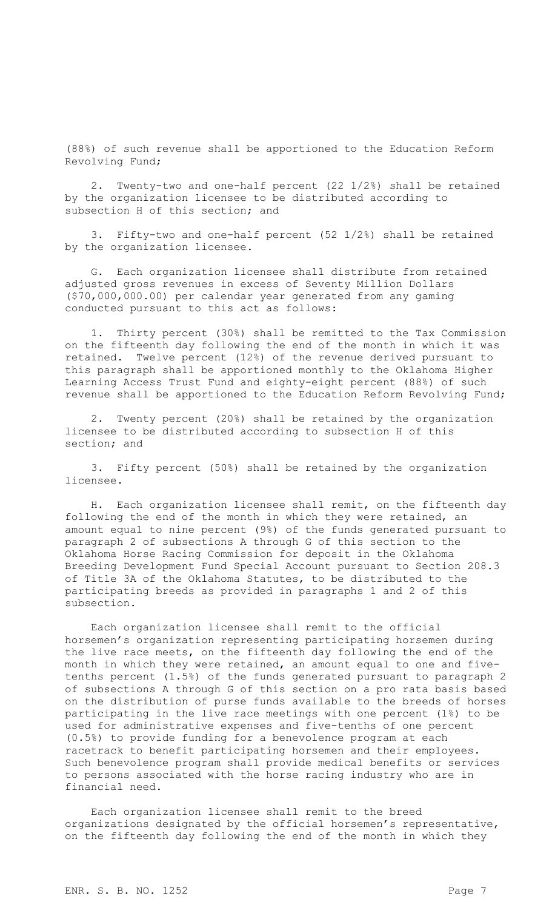(88%) of such revenue shall be apportioned to the Education Reform Revolving Fund;

2. Twenty-two and one-half percent (22 1/2%) shall be retained by the organization licensee to be distributed according to subsection H of this section; and

3. Fifty-two and one-half percent (52 1/2%) shall be retained by the organization licensee.

G. Each organization licensee shall distribute from retained adjusted gross revenues in excess of Seventy Million Dollars (\$70,000,000.00) per calendar year generated from any gaming conducted pursuant to this act as follows:

1. Thirty percent (30%) shall be remitted to the Tax Commission on the fifteenth day following the end of the month in which it was retained. Twelve percent (12%) of the revenue derived pursuant to this paragraph shall be apportioned monthly to the Oklahoma Higher Learning Access Trust Fund and eighty-eight percent (88%) of such revenue shall be apportioned to the Education Reform Revolving Fund;

2. Twenty percent (20%) shall be retained by the organization licensee to be distributed according to subsection H of this section; and

3. Fifty percent (50%) shall be retained by the organization licensee.

H. Each organization licensee shall remit, on the fifteenth day following the end of the month in which they were retained, an amount equal to nine percent (9%) of the funds generated pursuant to paragraph 2 of subsections A through G of this section to the Oklahoma Horse Racing Commission for deposit in the Oklahoma Breeding Development Fund Special Account pursuant to Section 208.3 of Title 3A of the Oklahoma Statutes, to be distributed to the participating breeds as provided in paragraphs 1 and 2 of this subsection.

Each organization licensee shall remit to the official horsemen's organization representing participating horsemen during the live race meets, on the fifteenth day following the end of the month in which they were retained, an amount equal to one and fivetenths percent (1.5%) of the funds generated pursuant to paragraph 2 of subsections A through G of this section on a pro rata basis based on the distribution of purse funds available to the breeds of horses participating in the live race meetings with one percent (1%) to be used for administrative expenses and five-tenths of one percent (0.5%) to provide funding for a benevolence program at each racetrack to benefit participating horsemen and their employees. Such benevolence program shall provide medical benefits or services to persons associated with the horse racing industry who are in financial need.

Each organization licensee shall remit to the breed organizations designated by the official horsemen's representative, on the fifteenth day following the end of the month in which they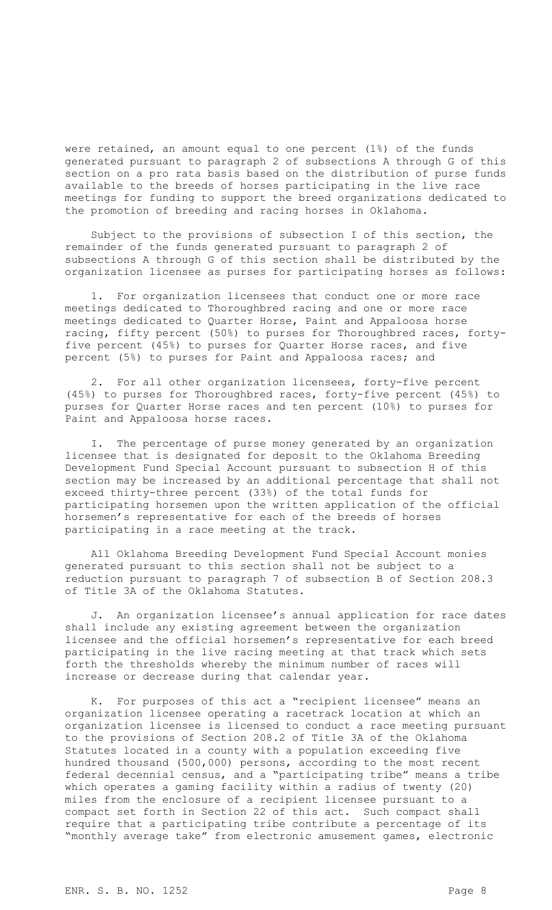were retained, an amount equal to one percent (1%) of the funds generated pursuant to paragraph 2 of subsections A through G of this section on a pro rata basis based on the distribution of purse funds available to the breeds of horses participating in the live race meetings for funding to support the breed organizations dedicated to the promotion of breeding and racing horses in Oklahoma.

Subject to the provisions of subsection I of this section, the remainder of the funds generated pursuant to paragraph 2 of subsections A through G of this section shall be distributed by the organization licensee as purses for participating horses as follows:

1. For organization licensees that conduct one or more race meetings dedicated to Thoroughbred racing and one or more race meetings dedicated to Quarter Horse, Paint and Appaloosa horse racing, fifty percent (50%) to purses for Thoroughbred races, fortyfive percent (45%) to purses for Quarter Horse races, and five percent (5%) to purses for Paint and Appaloosa races; and

2. For all other organization licensees, forty-five percent (45%) to purses for Thoroughbred races, forty-five percent (45%) to purses for Quarter Horse races and ten percent (10%) to purses for Paint and Appaloosa horse races.

I. The percentage of purse money generated by an organization licensee that is designated for deposit to the Oklahoma Breeding Development Fund Special Account pursuant to subsection H of this section may be increased by an additional percentage that shall not exceed thirty-three percent (33%) of the total funds for participating horsemen upon the written application of the official horsemen's representative for each of the breeds of horses participating in a race meeting at the track.

All Oklahoma Breeding Development Fund Special Account monies generated pursuant to this section shall not be subject to a reduction pursuant to paragraph 7 of subsection B of Section 208.3 of Title 3A of the Oklahoma Statutes.

J. An organization licensee's annual application for race dates shall include any existing agreement between the organization licensee and the official horsemen's representative for each breed participating in the live racing meeting at that track which sets forth the thresholds whereby the minimum number of races will increase or decrease during that calendar year.

K. For purposes of this act a "recipient licensee" means an organization licensee operating a racetrack location at which an organization licensee is licensed to conduct a race meeting pursuant to the provisions of Section 208.2 of Title 3A of the Oklahoma Statutes located in a county with a population exceeding five hundred thousand (500,000) persons, according to the most recent federal decennial census, and a "participating tribe" means a tribe which operates a gaming facility within a radius of twenty (20) miles from the enclosure of a recipient licensee pursuant to a compact set forth in Section 22 of this act. Such compact shall require that a participating tribe contribute a percentage of its "monthly average take" from electronic amusement games, electronic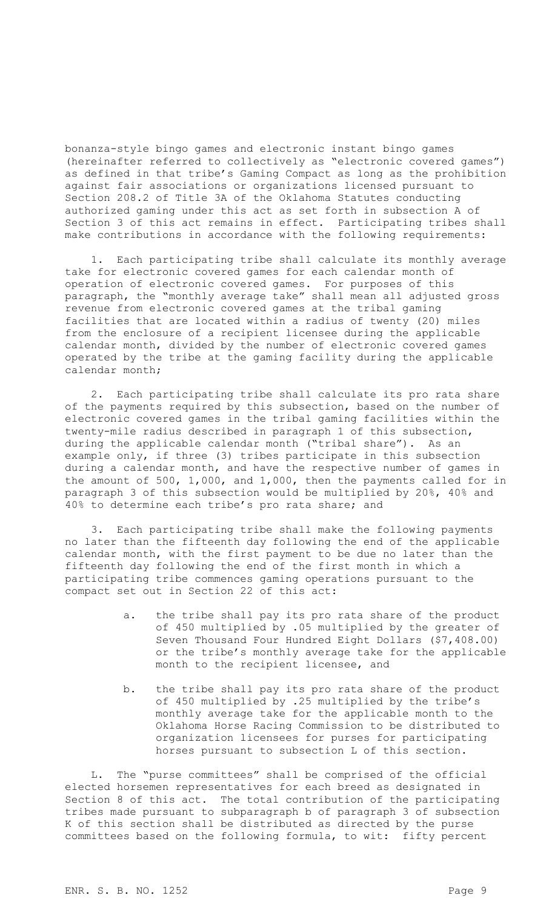bonanza-style bingo games and electronic instant bingo games (hereinafter referred to collectively as "electronic covered games") as defined in that tribe's Gaming Compact as long as the prohibition against fair associations or organizations licensed pursuant to Section 208.2 of Title 3A of the Oklahoma Statutes conducting authorized gaming under this act as set forth in subsection A of Section 3 of this act remains in effect. Participating tribes shall make contributions in accordance with the following requirements:

1. Each participating tribe shall calculate its monthly average take for electronic covered games for each calendar month of operation of electronic covered games. For purposes of this paragraph, the "monthly average take" shall mean all adjusted gross revenue from electronic covered games at the tribal gaming facilities that are located within a radius of twenty (20) miles from the enclosure of a recipient licensee during the applicable calendar month, divided by the number of electronic covered games operated by the tribe at the gaming facility during the applicable calendar month;

2. Each participating tribe shall calculate its pro rata share of the payments required by this subsection, based on the number of electronic covered games in the tribal gaming facilities within the twenty-mile radius described in paragraph 1 of this subsection, during the applicable calendar month ("tribal share"). As an example only, if three (3) tribes participate in this subsection during a calendar month, and have the respective number of games in the amount of 500, 1,000, and 1,000, then the payments called for in paragraph 3 of this subsection would be multiplied by 20%, 40% and 40% to determine each tribe's pro rata share; and

3. Each participating tribe shall make the following payments no later than the fifteenth day following the end of the applicable calendar month, with the first payment to be due no later than the fifteenth day following the end of the first month in which a participating tribe commences gaming operations pursuant to the compact set out in Section 22 of this act:

- a. the tribe shall pay its pro rata share of the product of 450 multiplied by .05 multiplied by the greater of Seven Thousand Four Hundred Eight Dollars (\$7,408.00) or the tribe's monthly average take for the applicable month to the recipient licensee, and
- b. the tribe shall pay its pro rata share of the product of 450 multiplied by .25 multiplied by the tribe's monthly average take for the applicable month to the Oklahoma Horse Racing Commission to be distributed to organization licensees for purses for participating horses pursuant to subsection L of this section.

L. The "purse committees" shall be comprised of the official elected horsemen representatives for each breed as designated in Section 8 of this act. The total contribution of the participating tribes made pursuant to subparagraph b of paragraph 3 of subsection K of this section shall be distributed as directed by the purse committees based on the following formula, to wit: fifty percent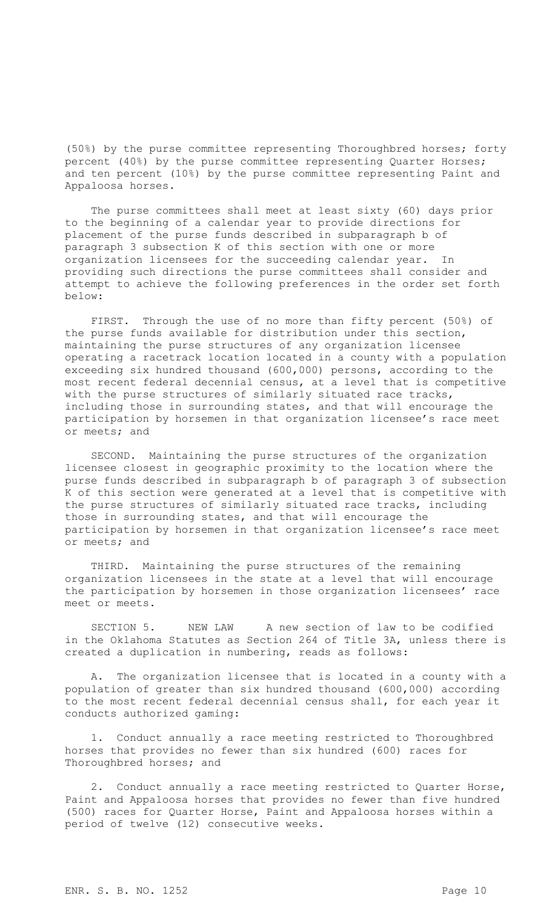(50%) by the purse committee representing Thoroughbred horses; forty percent (40%) by the purse committee representing Quarter Horses; and ten percent (10%) by the purse committee representing Paint and Appaloosa horses.

The purse committees shall meet at least sixty (60) days prior to the beginning of a calendar year to provide directions for placement of the purse funds described in subparagraph b of paragraph 3 subsection K of this section with one or more organization licensees for the succeeding calendar year. In providing such directions the purse committees shall consider and attempt to achieve the following preferences in the order set forth below:

FIRST. Through the use of no more than fifty percent (50%) of the purse funds available for distribution under this section, maintaining the purse structures of any organization licensee operating a racetrack location located in a county with a population exceeding six hundred thousand (600,000) persons, according to the most recent federal decennial census, at a level that is competitive with the purse structures of similarly situated race tracks, including those in surrounding states, and that will encourage the participation by horsemen in that organization licensee's race meet or meets; and

SECOND. Maintaining the purse structures of the organization licensee closest in geographic proximity to the location where the purse funds described in subparagraph b of paragraph 3 of subsection K of this section were generated at a level that is competitive with the purse structures of similarly situated race tracks, including those in surrounding states, and that will encourage the participation by horsemen in that organization licensee's race meet or meets; and

THIRD. Maintaining the purse structures of the remaining organization licensees in the state at a level that will encourage the participation by horsemen in those organization licensees' race meet or meets.

SECTION 5. NEW LAW A new section of law to be codified in the Oklahoma Statutes as Section 264 of Title 3A, unless there is created a duplication in numbering, reads as follows:

A. The organization licensee that is located in a county with a population of greater than six hundred thousand (600,000) according to the most recent federal decennial census shall, for each year it conducts authorized gaming:

1. Conduct annually a race meeting restricted to Thoroughbred horses that provides no fewer than six hundred (600) races for Thoroughbred horses; and

2. Conduct annually a race meeting restricted to Quarter Horse, Paint and Appaloosa horses that provides no fewer than five hundred (500) races for Quarter Horse, Paint and Appaloosa horses within a period of twelve (12) consecutive weeks.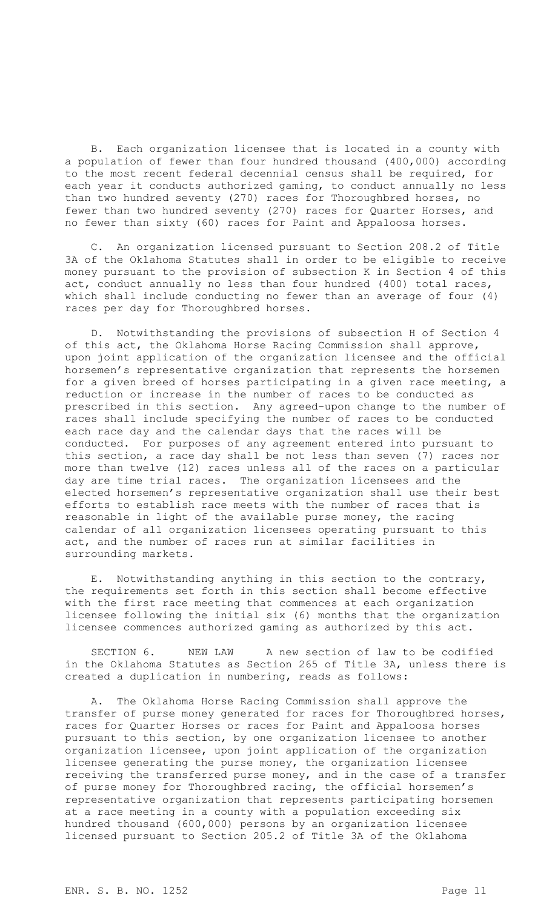B. Each organization licensee that is located in a county with a population of fewer than four hundred thousand (400,000) according to the most recent federal decennial census shall be required, for each year it conducts authorized gaming, to conduct annually no less than two hundred seventy (270) races for Thoroughbred horses, no fewer than two hundred seventy (270) races for Quarter Horses, and no fewer than sixty (60) races for Paint and Appaloosa horses.

C. An organization licensed pursuant to Section 208.2 of Title 3A of the Oklahoma Statutes shall in order to be eligible to receive money pursuant to the provision of subsection K in Section 4 of this act, conduct annually no less than four hundred (400) total races, which shall include conducting no fewer than an average of four (4) races per day for Thoroughbred horses.

D. Notwithstanding the provisions of subsection H of Section 4 of this act, the Oklahoma Horse Racing Commission shall approve, upon joint application of the organization licensee and the official horsemen's representative organization that represents the horsemen for a given breed of horses participating in a given race meeting, a reduction or increase in the number of races to be conducted as prescribed in this section. Any agreed-upon change to the number of races shall include specifying the number of races to be conducted each race day and the calendar days that the races will be conducted. For purposes of any agreement entered into pursuant to this section, a race day shall be not less than seven (7) races nor more than twelve (12) races unless all of the races on a particular day are time trial races. The organization licensees and the elected horsemen's representative organization shall use their best efforts to establish race meets with the number of races that is reasonable in light of the available purse money, the racing calendar of all organization licensees operating pursuant to this act, and the number of races run at similar facilities in surrounding markets.

E. Notwithstanding anything in this section to the contrary, the requirements set forth in this section shall become effective with the first race meeting that commences at each organization licensee following the initial six (6) months that the organization licensee commences authorized gaming as authorized by this act.

SECTION 6. NEW LAW A new section of law to be codified in the Oklahoma Statutes as Section 265 of Title 3A, unless there is created a duplication in numbering, reads as follows:

A. The Oklahoma Horse Racing Commission shall approve the transfer of purse money generated for races for Thoroughbred horses, races for Quarter Horses or races for Paint and Appaloosa horses pursuant to this section, by one organization licensee to another organization licensee, upon joint application of the organization licensee generating the purse money, the organization licensee receiving the transferred purse money, and in the case of a transfer of purse money for Thoroughbred racing, the official horsemen's representative organization that represents participating horsemen at a race meeting in a county with a population exceeding six hundred thousand (600,000) persons by an organization licensee licensed pursuant to Section 205.2 of Title 3A of the Oklahoma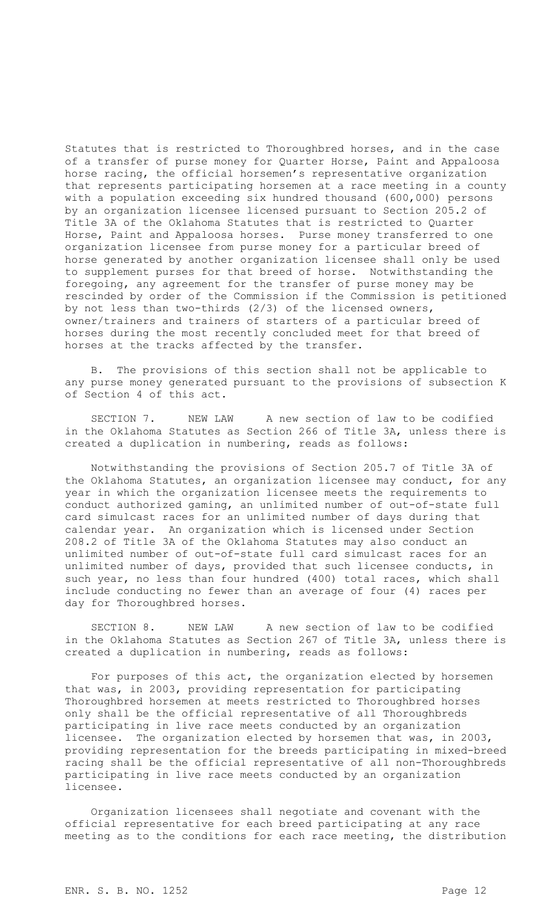Statutes that is restricted to Thoroughbred horses, and in the case of a transfer of purse money for Quarter Horse, Paint and Appaloosa horse racing, the official horsemen's representative organization that represents participating horsemen at a race meeting in a county with a population exceeding six hundred thousand (600,000) persons by an organization licensee licensed pursuant to Section 205.2 of Title 3A of the Oklahoma Statutes that is restricted to Quarter Horse, Paint and Appaloosa horses. Purse money transferred to one organization licensee from purse money for a particular breed of horse generated by another organization licensee shall only be used to supplement purses for that breed of horse. Notwithstanding the foregoing, any agreement for the transfer of purse money may be rescinded by order of the Commission if the Commission is petitioned by not less than two-thirds (2/3) of the licensed owners, owner/trainers and trainers of starters of a particular breed of horses during the most recently concluded meet for that breed of horses at the tracks affected by the transfer.

B. The provisions of this section shall not be applicable to any purse money generated pursuant to the provisions of subsection K of Section 4 of this act.

SECTION 7. NEW LAW A new section of law to be codified in the Oklahoma Statutes as Section 266 of Title 3A, unless there is created a duplication in numbering, reads as follows:

Notwithstanding the provisions of Section 205.7 of Title 3A of the Oklahoma Statutes, an organization licensee may conduct, for any year in which the organization licensee meets the requirements to conduct authorized gaming, an unlimited number of out-of-state full card simulcast races for an unlimited number of days during that calendar year. An organization which is licensed under Section 208.2 of Title 3A of the Oklahoma Statutes may also conduct an unlimited number of out-of-state full card simulcast races for an unlimited number of days, provided that such licensee conducts, in such year, no less than four hundred (400) total races, which shall include conducting no fewer than an average of four (4) races per day for Thoroughbred horses.

SECTION 8. NEW LAW A new section of law to be codified in the Oklahoma Statutes as Section 267 of Title 3A, unless there is created a duplication in numbering, reads as follows:

For purposes of this act, the organization elected by horsemen that was, in 2003, providing representation for participating Thoroughbred horsemen at meets restricted to Thoroughbred horses only shall be the official representative of all Thoroughbreds participating in live race meets conducted by an organization licensee. The organization elected by horsemen that was, in 2003, providing representation for the breeds participating in mixed-breed racing shall be the official representative of all non-Thoroughbreds participating in live race meets conducted by an organization licensee.

Organization licensees shall negotiate and covenant with the official representative for each breed participating at any race meeting as to the conditions for each race meeting, the distribution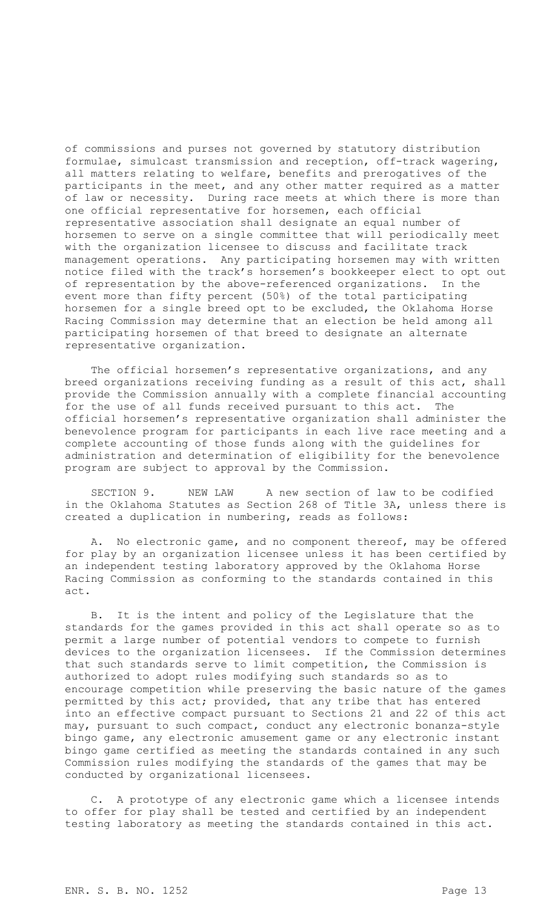of commissions and purses not governed by statutory distribution formulae, simulcast transmission and reception, off-track wagering, all matters relating to welfare, benefits and prerogatives of the participants in the meet, and any other matter required as a matter of law or necessity. During race meets at which there is more than one official representative for horsemen, each official representative association shall designate an equal number of horsemen to serve on a single committee that will periodically meet with the organization licensee to discuss and facilitate track management operations. Any participating horsemen may with written notice filed with the track's horsemen's bookkeeper elect to opt out of representation by the above-referenced organizations. In the event more than fifty percent (50%) of the total participating horsemen for a single breed opt to be excluded, the Oklahoma Horse Racing Commission may determine that an election be held among all participating horsemen of that breed to designate an alternate representative organization.

The official horsemen's representative organizations, and any breed organizations receiving funding as a result of this act, shall provide the Commission annually with a complete financial accounting for the use of all funds received pursuant to this act. The official horsemen's representative organization shall administer the benevolence program for participants in each live race meeting and a complete accounting of those funds along with the guidelines for administration and determination of eligibility for the benevolence program are subject to approval by the Commission.

SECTION 9. NEW LAW A new section of law to be codified in the Oklahoma Statutes as Section 268 of Title 3A, unless there is created a duplication in numbering, reads as follows:

A. No electronic game, and no component thereof, may be offered for play by an organization licensee unless it has been certified by an independent testing laboratory approved by the Oklahoma Horse Racing Commission as conforming to the standards contained in this act.

B. It is the intent and policy of the Legislature that the standards for the games provided in this act shall operate so as to permit a large number of potential vendors to compete to furnish devices to the organization licensees. If the Commission determines that such standards serve to limit competition, the Commission is authorized to adopt rules modifying such standards so as to encourage competition while preserving the basic nature of the games permitted by this act; provided, that any tribe that has entered into an effective compact pursuant to Sections 21 and 22 of this act may, pursuant to such compact, conduct any electronic bonanza-style bingo game, any electronic amusement game or any electronic instant bingo game certified as meeting the standards contained in any such Commission rules modifying the standards of the games that may be conducted by organizational licensees.

C. A prototype of any electronic game which a licensee intends to offer for play shall be tested and certified by an independent testing laboratory as meeting the standards contained in this act.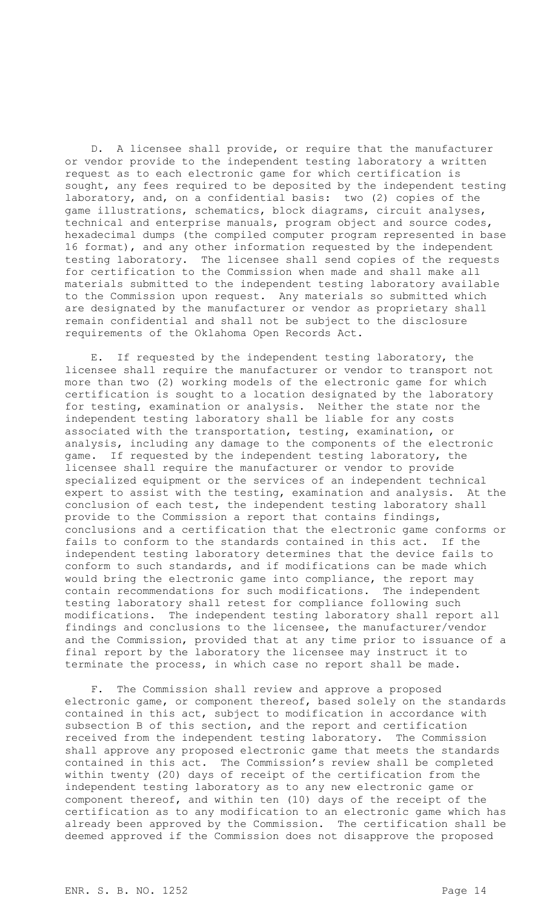D. A licensee shall provide, or require that the manufacturer or vendor provide to the independent testing laboratory a written request as to each electronic game for which certification is sought, any fees required to be deposited by the independent testing laboratory, and, on a confidential basis: two (2) copies of the game illustrations, schematics, block diagrams, circuit analyses, technical and enterprise manuals, program object and source codes, hexadecimal dumps (the compiled computer program represented in base 16 format), and any other information requested by the independent testing laboratory. The licensee shall send copies of the requests for certification to the Commission when made and shall make all materials submitted to the independent testing laboratory available to the Commission upon request. Any materials so submitted which are designated by the manufacturer or vendor as proprietary shall remain confidential and shall not be subject to the disclosure requirements of the Oklahoma Open Records Act.

E. If requested by the independent testing laboratory, the licensee shall require the manufacturer or vendor to transport not more than two (2) working models of the electronic game for which certification is sought to a location designated by the laboratory for testing, examination or analysis. Neither the state nor the independent testing laboratory shall be liable for any costs associated with the transportation, testing, examination, or analysis, including any damage to the components of the electronic game. If requested by the independent testing laboratory, the licensee shall require the manufacturer or vendor to provide specialized equipment or the services of an independent technical expert to assist with the testing, examination and analysis. At the conclusion of each test, the independent testing laboratory shall provide to the Commission a report that contains findings, conclusions and a certification that the electronic game conforms or fails to conform to the standards contained in this act. If the independent testing laboratory determines that the device fails to conform to such standards, and if modifications can be made which would bring the electronic game into compliance, the report may contain recommendations for such modifications. The independent testing laboratory shall retest for compliance following such modifications. The independent testing laboratory shall report all findings and conclusions to the licensee, the manufacturer/vendor and the Commission, provided that at any time prior to issuance of a final report by the laboratory the licensee may instruct it to terminate the process, in which case no report shall be made.

F. The Commission shall review and approve a proposed electronic game, or component thereof, based solely on the standards contained in this act, subject to modification in accordance with subsection B of this section, and the report and certification received from the independent testing laboratory. The Commission shall approve any proposed electronic game that meets the standards contained in this act. The Commission's review shall be completed within twenty (20) days of receipt of the certification from the independent testing laboratory as to any new electronic game or component thereof, and within ten (10) days of the receipt of the certification as to any modification to an electronic game which has already been approved by the Commission. The certification shall be deemed approved if the Commission does not disapprove the proposed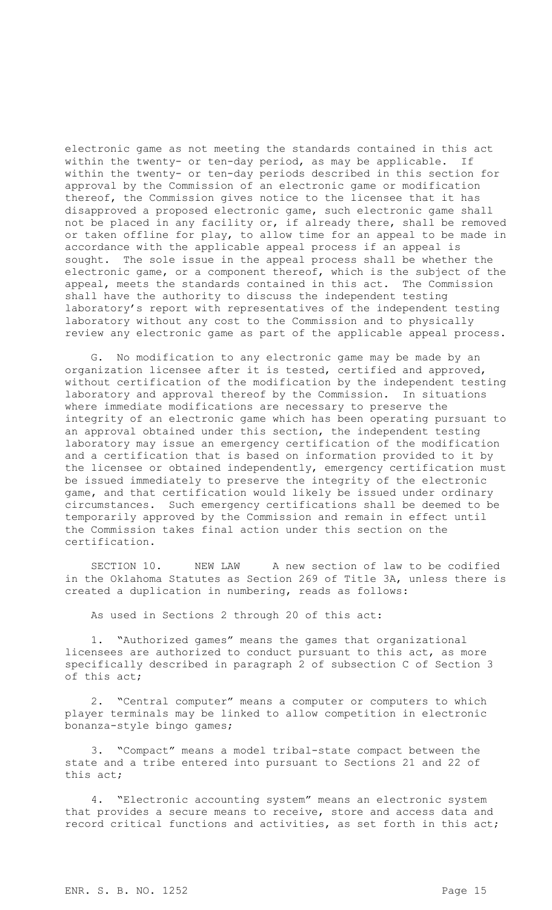electronic game as not meeting the standards contained in this act within the twenty- or ten-day period, as may be applicable. If within the twenty- or ten-day periods described in this section for approval by the Commission of an electronic game or modification thereof, the Commission gives notice to the licensee that it has disapproved a proposed electronic game, such electronic game shall not be placed in any facility or, if already there, shall be removed or taken offline for play, to allow time for an appeal to be made in accordance with the applicable appeal process if an appeal is sought. The sole issue in the appeal process shall be whether the electronic game, or a component thereof, which is the subject of the appeal, meets the standards contained in this act. The Commission shall have the authority to discuss the independent testing laboratory's report with representatives of the independent testing laboratory without any cost to the Commission and to physically review any electronic game as part of the applicable appeal process.

G. No modification to any electronic game may be made by an organization licensee after it is tested, certified and approved, without certification of the modification by the independent testing laboratory and approval thereof by the Commission. In situations where immediate modifications are necessary to preserve the integrity of an electronic game which has been operating pursuant to an approval obtained under this section, the independent testing laboratory may issue an emergency certification of the modification and a certification that is based on information provided to it by the licensee or obtained independently, emergency certification must be issued immediately to preserve the integrity of the electronic game, and that certification would likely be issued under ordinary circumstances. Such emergency certifications shall be deemed to be temporarily approved by the Commission and remain in effect until the Commission takes final action under this section on the certification.

SECTION 10. NEW LAW A new section of law to be codified in the Oklahoma Statutes as Section 269 of Title 3A, unless there is created a duplication in numbering, reads as follows:

As used in Sections 2 through 20 of this act:

"Authorized games" means the games that organizational licensees are authorized to conduct pursuant to this act, as more specifically described in paragraph 2 of subsection C of Section 3 of this act;

2. "Central computer" means a computer or computers to which player terminals may be linked to allow competition in electronic bonanza-style bingo games;

3. "Compact" means a model tribal-state compact between the state and a tribe entered into pursuant to Sections 21 and 22 of this act;

4. "Electronic accounting system" means an electronic system that provides a secure means to receive, store and access data and record critical functions and activities, as set forth in this act;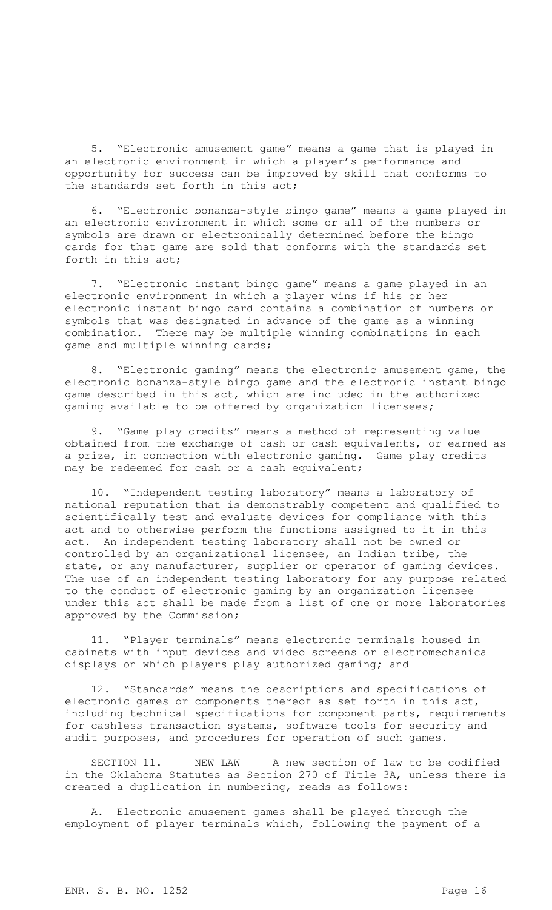5. "Electronic amusement game" means a game that is played in an electronic environment in which a player's performance and opportunity for success can be improved by skill that conforms to the standards set forth in this act;

6. "Electronic bonanza-style bingo game" means a game played in an electronic environment in which some or all of the numbers or symbols are drawn or electronically determined before the bingo cards for that game are sold that conforms with the standards set forth in this act;

7. "Electronic instant bingo game" means a game played in an electronic environment in which a player wins if his or her electronic instant bingo card contains a combination of numbers or symbols that was designated in advance of the game as a winning combination. There may be multiple winning combinations in each game and multiple winning cards;

8. "Electronic gaming" means the electronic amusement game, the electronic bonanza-style bingo game and the electronic instant bingo game described in this act, which are included in the authorized gaming available to be offered by organization licensees;

9. "Game play credits" means a method of representing value obtained from the exchange of cash or cash equivalents, or earned as a prize, in connection with electronic gaming. Game play credits may be redeemed for cash or a cash equivalent;

10. "Independent testing laboratory" means a laboratory of national reputation that is demonstrably competent and qualified to scientifically test and evaluate devices for compliance with this act and to otherwise perform the functions assigned to it in this act. An independent testing laboratory shall not be owned or controlled by an organizational licensee, an Indian tribe, the state, or any manufacturer, supplier or operator of gaming devices. The use of an independent testing laboratory for any purpose related to the conduct of electronic gaming by an organization licensee under this act shall be made from a list of one or more laboratories approved by the Commission;

11. "Player terminals" means electronic terminals housed in cabinets with input devices and video screens or electromechanical displays on which players play authorized gaming; and

12. "Standards" means the descriptions and specifications of electronic games or components thereof as set forth in this act, including technical specifications for component parts, requirements for cashless transaction systems, software tools for security and audit purposes, and procedures for operation of such games.

SECTION 11. NEW LAW A new section of law to be codified in the Oklahoma Statutes as Section 270 of Title 3A, unless there is created a duplication in numbering, reads as follows:

A. Electronic amusement games shall be played through the employment of player terminals which, following the payment of a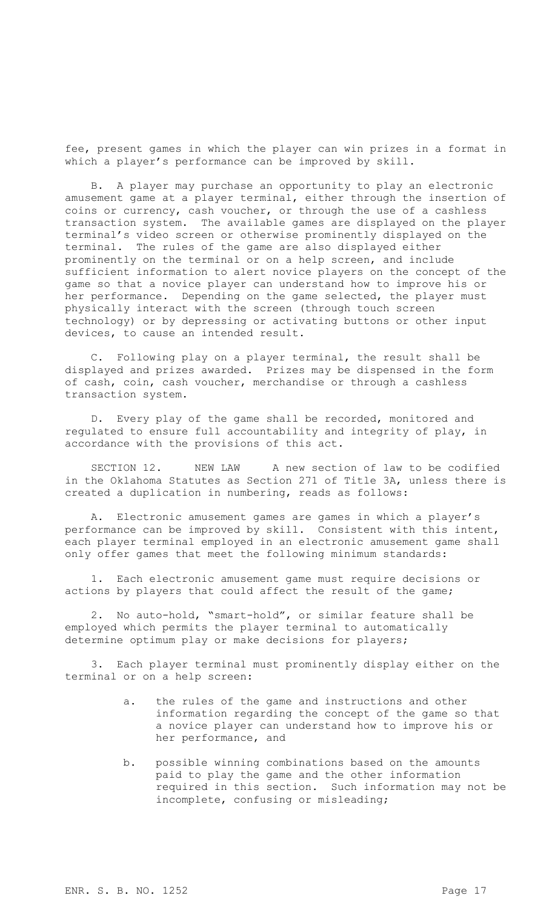fee, present games in which the player can win prizes in a format in which a player's performance can be improved by skill.

B. A player may purchase an opportunity to play an electronic amusement game at a player terminal, either through the insertion of coins or currency, cash voucher, or through the use of a cashless transaction system. The available games are displayed on the player terminal's video screen or otherwise prominently displayed on the terminal. The rules of the game are also displayed either prominently on the terminal or on a help screen, and include sufficient information to alert novice players on the concept of the game so that a novice player can understand how to improve his or her performance. Depending on the game selected, the player must physically interact with the screen (through touch screen technology) or by depressing or activating buttons or other input devices, to cause an intended result.

C. Following play on a player terminal, the result shall be displayed and prizes awarded. Prizes may be dispensed in the form of cash, coin, cash voucher, merchandise or through a cashless transaction system.

D. Every play of the game shall be recorded, monitored and regulated to ensure full accountability and integrity of play, in accordance with the provisions of this act.

SECTION 12. NEW LAW A new section of law to be codified in the Oklahoma Statutes as Section 271 of Title 3A, unless there is created a duplication in numbering, reads as follows:

A. Electronic amusement games are games in which a player's performance can be improved by skill. Consistent with this intent, each player terminal employed in an electronic amusement game shall only offer games that meet the following minimum standards:

1. Each electronic amusement game must require decisions or actions by players that could affect the result of the game;

2. No auto-hold, "smart-hold", or similar feature shall be employed which permits the player terminal to automatically determine optimum play or make decisions for players;

3. Each player terminal must prominently display either on the terminal or on a help screen:

- a. the rules of the game and instructions and other information regarding the concept of the game so that a novice player can understand how to improve his or her performance, and
- b. possible winning combinations based on the amounts paid to play the game and the other information required in this section. Such information may not be incomplete, confusing or misleading;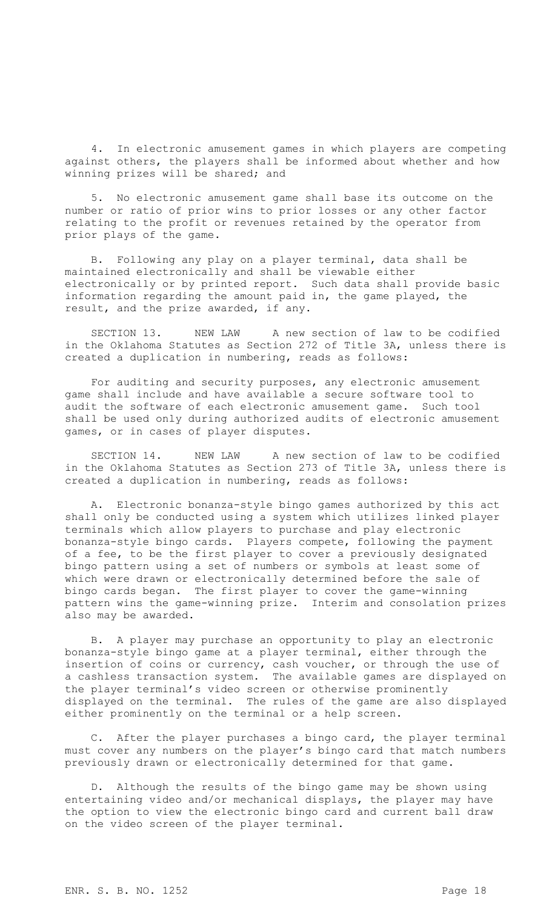4. In electronic amusement games in which players are competing against others, the players shall be informed about whether and how winning prizes will be shared; and

5. No electronic amusement game shall base its outcome on the number or ratio of prior wins to prior losses or any other factor relating to the profit or revenues retained by the operator from prior plays of the game.

B. Following any play on a player terminal, data shall be maintained electronically and shall be viewable either electronically or by printed report. Such data shall provide basic information regarding the amount paid in, the game played, the result, and the prize awarded, if any.

SECTION 13. NEW LAW A new section of law to be codified in the Oklahoma Statutes as Section 272 of Title 3A, unless there is created a duplication in numbering, reads as follows:

For auditing and security purposes, any electronic amusement game shall include and have available a secure software tool to audit the software of each electronic amusement game. Such tool shall be used only during authorized audits of electronic amusement games, or in cases of player disputes.

SECTION 14. NEW LAW A new section of law to be codified in the Oklahoma Statutes as Section 273 of Title 3A, unless there is created a duplication in numbering, reads as follows:

A. Electronic bonanza-style bingo games authorized by this act shall only be conducted using a system which utilizes linked player terminals which allow players to purchase and play electronic bonanza-style bingo cards. Players compete, following the payment of a fee, to be the first player to cover a previously designated bingo pattern using a set of numbers or symbols at least some of which were drawn or electronically determined before the sale of bingo cards began. The first player to cover the game-winning pattern wins the game-winning prize. Interim and consolation prizes also may be awarded.

B. A player may purchase an opportunity to play an electronic bonanza-style bingo game at a player terminal, either through the insertion of coins or currency, cash voucher, or through the use of a cashless transaction system. The available games are displayed on the player terminal's video screen or otherwise prominently displayed on the terminal. The rules of the game are also displayed either prominently on the terminal or a help screen.

After the player purchases a bingo card, the player terminal must cover any numbers on the player's bingo card that match numbers previously drawn or electronically determined for that game.

D. Although the results of the bingo game may be shown using entertaining video and/or mechanical displays, the player may have the option to view the electronic bingo card and current ball draw on the video screen of the player terminal.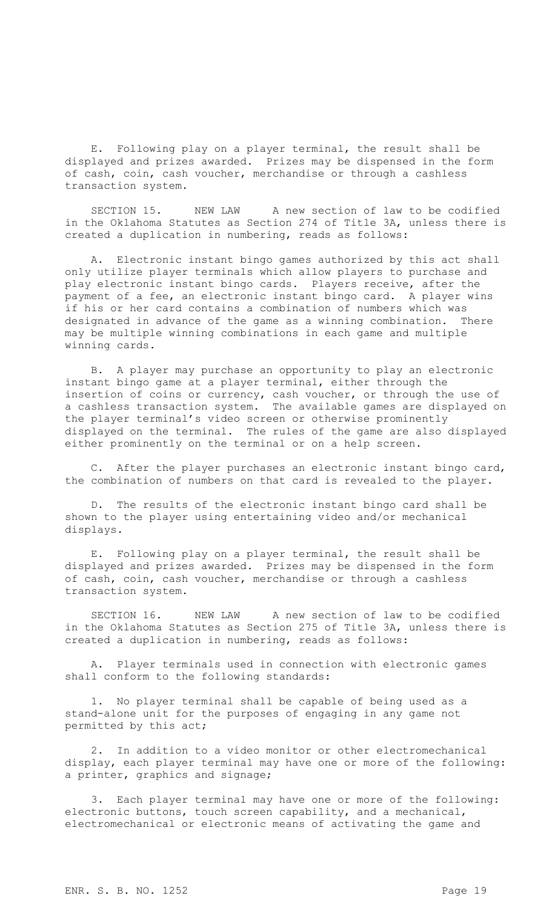E. Following play on a player terminal, the result shall be displayed and prizes awarded. Prizes may be dispensed in the form of cash, coin, cash voucher, merchandise or through a cashless transaction system.

SECTION 15. NEW LAW A new section of law to be codified in the Oklahoma Statutes as Section 274 of Title 3A, unless there is created a duplication in numbering, reads as follows:

A. Electronic instant bingo games authorized by this act shall only utilize player terminals which allow players to purchase and play electronic instant bingo cards. Players receive, after the payment of a fee, an electronic instant bingo card. A player wins if his or her card contains a combination of numbers which was designated in advance of the game as a winning combination. There may be multiple winning combinations in each game and multiple winning cards.

B. A player may purchase an opportunity to play an electronic instant bingo game at a player terminal, either through the insertion of coins or currency, cash voucher, or through the use of a cashless transaction system. The available games are displayed on the player terminal's video screen or otherwise prominently displayed on the terminal. The rules of the game are also displayed either prominently on the terminal or on a help screen.

C. After the player purchases an electronic instant bingo card, the combination of numbers on that card is revealed to the player.

D. The results of the electronic instant bingo card shall be shown to the player using entertaining video and/or mechanical displays.

E. Following play on a player terminal, the result shall be displayed and prizes awarded. Prizes may be dispensed in the form of cash, coin, cash voucher, merchandise or through a cashless transaction system.

SECTION 16. NEW LAW A new section of law to be codified in the Oklahoma Statutes as Section 275 of Title 3A, unless there is created a duplication in numbering, reads as follows:

A. Player terminals used in connection with electronic games shall conform to the following standards:

1. No player terminal shall be capable of being used as a stand-alone unit for the purposes of engaging in any game not permitted by this act;

2. In addition to a video monitor or other electromechanical display, each player terminal may have one or more of the following: a printer, graphics and signage;

3. Each player terminal may have one or more of the following: electronic buttons, touch screen capability, and a mechanical, electromechanical or electronic means of activating the game and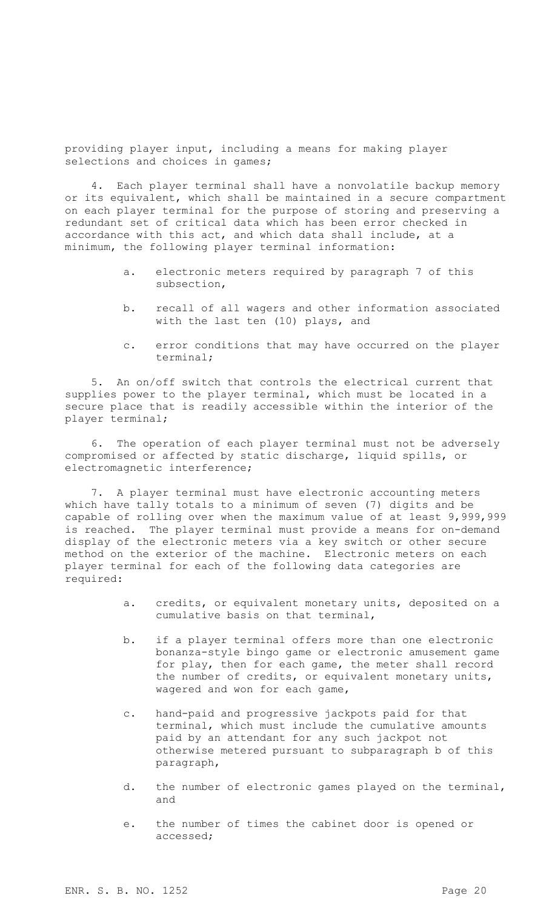providing player input, including a means for making player selections and choices in games;

4. Each player terminal shall have a nonvolatile backup memory or its equivalent, which shall be maintained in a secure compartment on each player terminal for the purpose of storing and preserving a redundant set of critical data which has been error checked in accordance with this act, and which data shall include, at a minimum, the following player terminal information:

- a. electronic meters required by paragraph 7 of this subsection,
- b. recall of all wagers and other information associated with the last ten (10) plays, and
- c. error conditions that may have occurred on the player terminal;

5. An on/off switch that controls the electrical current that supplies power to the player terminal, which must be located in a secure place that is readily accessible within the interior of the player terminal;

6. The operation of each player terminal must not be adversely compromised or affected by static discharge, liquid spills, or electromagnetic interference;

7. A player terminal must have electronic accounting meters which have tally totals to a minimum of seven (7) digits and be capable of rolling over when the maximum value of at least 9,999,999 is reached. The player terminal must provide a means for on-demand display of the electronic meters via a key switch or other secure method on the exterior of the machine. Electronic meters on each player terminal for each of the following data categories are required:

- a. credits, or equivalent monetary units, deposited on a cumulative basis on that terminal,
- b. if a player terminal offers more than one electronic bonanza-style bingo game or electronic amusement game for play, then for each game, the meter shall record the number of credits, or equivalent monetary units, wagered and won for each game,
- c. hand-paid and progressive jackpots paid for that terminal, which must include the cumulative amounts paid by an attendant for any such jackpot not otherwise metered pursuant to subparagraph b of this paragraph,
- d. the number of electronic games played on the terminal, and
- e. the number of times the cabinet door is opened or accessed;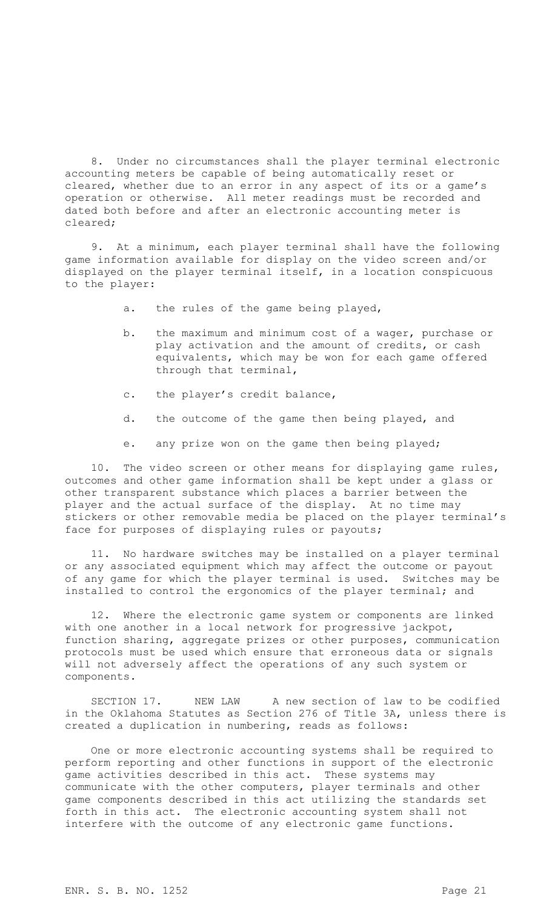8. Under no circumstances shall the player terminal electronic accounting meters be capable of being automatically reset or cleared, whether due to an error in any aspect of its or a game's operation or otherwise. All meter readings must be recorded and dated both before and after an electronic accounting meter is cleared;

9. At a minimum, each player terminal shall have the following game information available for display on the video screen and/or displayed on the player terminal itself, in a location conspicuous to the player:

- a. the rules of the game being played,
- b. the maximum and minimum cost of a wager, purchase or play activation and the amount of credits, or cash equivalents, which may be won for each game offered through that terminal,
- c. the player's credit balance,
- d. the outcome of the game then being played, and
- e. any prize won on the game then being played;

10. The video screen or other means for displaying game rules, outcomes and other game information shall be kept under a glass or other transparent substance which places a barrier between the player and the actual surface of the display. At no time may stickers or other removable media be placed on the player terminal's face for purposes of displaying rules or payouts;

11. No hardware switches may be installed on a player terminal or any associated equipment which may affect the outcome or payout of any game for which the player terminal is used. Switches may be installed to control the ergonomics of the player terminal; and

12. Where the electronic game system or components are linked with one another in a local network for progressive jackpot, function sharing, aggregate prizes or other purposes, communication protocols must be used which ensure that erroneous data or signals will not adversely affect the operations of any such system or components.

SECTION 17. NEW LAW A new section of law to be codified in the Oklahoma Statutes as Section 276 of Title 3A, unless there is created a duplication in numbering, reads as follows:

One or more electronic accounting systems shall be required to perform reporting and other functions in support of the electronic game activities described in this act. These systems may communicate with the other computers, player terminals and other game components described in this act utilizing the standards set forth in this act. The electronic accounting system shall not interfere with the outcome of any electronic game functions.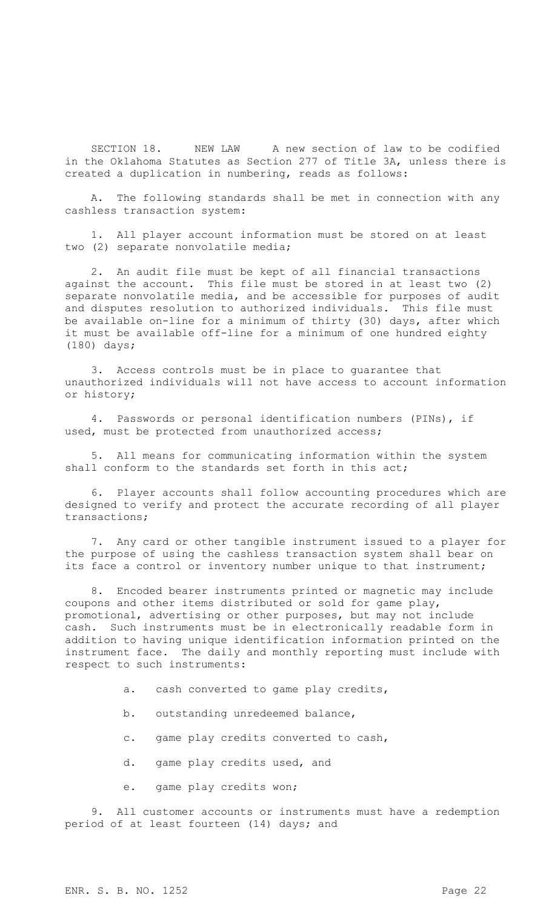SECTION 18. NEW LAW A new section of law to be codified in the Oklahoma Statutes as Section 277 of Title 3A, unless there is created a duplication in numbering, reads as follows:

A. The following standards shall be met in connection with any cashless transaction system:

1. All player account information must be stored on at least two (2) separate nonvolatile media;

2. An audit file must be kept of all financial transactions against the account. This file must be stored in at least two (2) separate nonvolatile media, and be accessible for purposes of audit and disputes resolution to authorized individuals. This file must be available on-line for a minimum of thirty (30) days, after which it must be available off-line for a minimum of one hundred eighty (180) days;

3. Access controls must be in place to guarantee that unauthorized individuals will not have access to account information or history;

4. Passwords or personal identification numbers (PINs), if used, must be protected from unauthorized access;

5. All means for communicating information within the system shall conform to the standards set forth in this act;

6. Player accounts shall follow accounting procedures which are designed to verify and protect the accurate recording of all player transactions;

7. Any card or other tangible instrument issued to a player for the purpose of using the cashless transaction system shall bear on its face a control or inventory number unique to that instrument;

8. Encoded bearer instruments printed or magnetic may include coupons and other items distributed or sold for game play, promotional, advertising or other purposes, but may not include cash. Such instruments must be in electronically readable form in addition to having unique identification information printed on the instrument face. The daily and monthly reporting must include with respect to such instruments:

- a. cash converted to game play credits,
- b. outstanding unredeemed balance,
- c. game play credits converted to cash,
- d. game play credits used, and
- e. game play credits won;

9. All customer accounts or instruments must have a redemption period of at least fourteen (14) days; and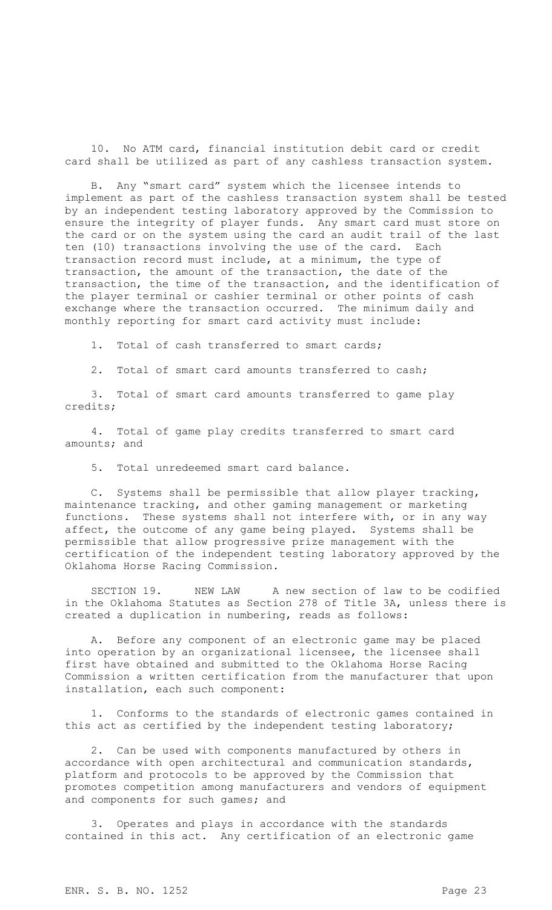10. No ATM card, financial institution debit card or credit card shall be utilized as part of any cashless transaction system.

B. Any "smart card" system which the licensee intends to implement as part of the cashless transaction system shall be tested by an independent testing laboratory approved by the Commission to ensure the integrity of player funds. Any smart card must store on the card or on the system using the card an audit trail of the last ten (10) transactions involving the use of the card. Each transaction record must include, at a minimum, the type of transaction, the amount of the transaction, the date of the transaction, the time of the transaction, and the identification of the player terminal or cashier terminal or other points of cash exchange where the transaction occurred. The minimum daily and monthly reporting for smart card activity must include:

1. Total of cash transferred to smart cards;

2. Total of smart card amounts transferred to cash;

3. Total of smart card amounts transferred to game play credits;

4. Total of game play credits transferred to smart card amounts; and

5. Total unredeemed smart card balance.

C. Systems shall be permissible that allow player tracking, maintenance tracking, and other gaming management or marketing functions. These systems shall not interfere with, or in any way affect, the outcome of any game being played. Systems shall be permissible that allow progressive prize management with the certification of the independent testing laboratory approved by the Oklahoma Horse Racing Commission.

SECTION 19. NEW LAW A new section of law to be codified in the Oklahoma Statutes as Section 278 of Title 3A, unless there is created a duplication in numbering, reads as follows:

A. Before any component of an electronic game may be placed into operation by an organizational licensee, the licensee shall first have obtained and submitted to the Oklahoma Horse Racing Commission a written certification from the manufacturer that upon installation, each such component:

1. Conforms to the standards of electronic games contained in this act as certified by the independent testing laboratory;

2. Can be used with components manufactured by others in accordance with open architectural and communication standards, platform and protocols to be approved by the Commission that promotes competition among manufacturers and vendors of equipment and components for such games; and

3. Operates and plays in accordance with the standards contained in this act. Any certification of an electronic game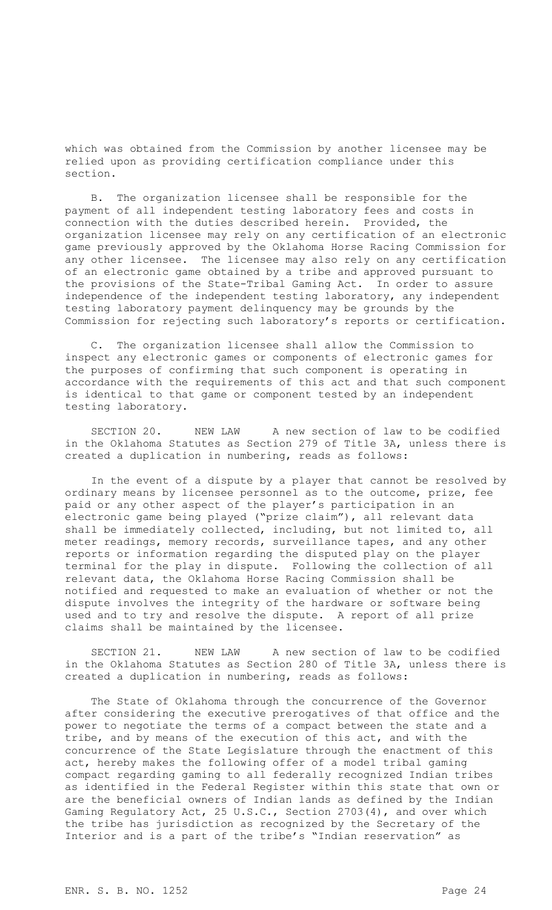which was obtained from the Commission by another licensee may be relied upon as providing certification compliance under this section.

B. The organization licensee shall be responsible for the payment of all independent testing laboratory fees and costs in connection with the duties described herein. Provided, the organization licensee may rely on any certification of an electronic game previously approved by the Oklahoma Horse Racing Commission for any other licensee. The licensee may also rely on any certification of an electronic game obtained by a tribe and approved pursuant to the provisions of the State-Tribal Gaming Act. In order to assure independence of the independent testing laboratory, any independent testing laboratory payment delinquency may be grounds by the Commission for rejecting such laboratory's reports or certification.

C. The organization licensee shall allow the Commission to inspect any electronic games or components of electronic games for the purposes of confirming that such component is operating in accordance with the requirements of this act and that such component is identical to that game or component tested by an independent testing laboratory.

SECTION 20. NEW LAW A new section of law to be codified in the Oklahoma Statutes as Section 279 of Title 3A, unless there is created a duplication in numbering, reads as follows:

In the event of a dispute by a player that cannot be resolved by ordinary means by licensee personnel as to the outcome, prize, fee paid or any other aspect of the player's participation in an electronic game being played ("prize claim"), all relevant data shall be immediately collected, including, but not limited to, all meter readings, memory records, surveillance tapes, and any other reports or information regarding the disputed play on the player terminal for the play in dispute. Following the collection of all relevant data, the Oklahoma Horse Racing Commission shall be notified and requested to make an evaluation of whether or not the dispute involves the integrity of the hardware or software being used and to try and resolve the dispute. A report of all prize claims shall be maintained by the licensee.

SECTION 21. NEW LAW A new section of law to be codified in the Oklahoma Statutes as Section 280 of Title 3A, unless there is created a duplication in numbering, reads as follows:

The State of Oklahoma through the concurrence of the Governor after considering the executive prerogatives of that office and the power to negotiate the terms of a compact between the state and a tribe, and by means of the execution of this act, and with the concurrence of the State Legislature through the enactment of this act, hereby makes the following offer of a model tribal gaming compact regarding gaming to all federally recognized Indian tribes as identified in the Federal Register within this state that own or are the beneficial owners of Indian lands as defined by the Indian Gaming Regulatory Act, 25 U.S.C., Section 2703(4), and over which the tribe has jurisdiction as recognized by the Secretary of the Interior and is a part of the tribe's "Indian reservation" as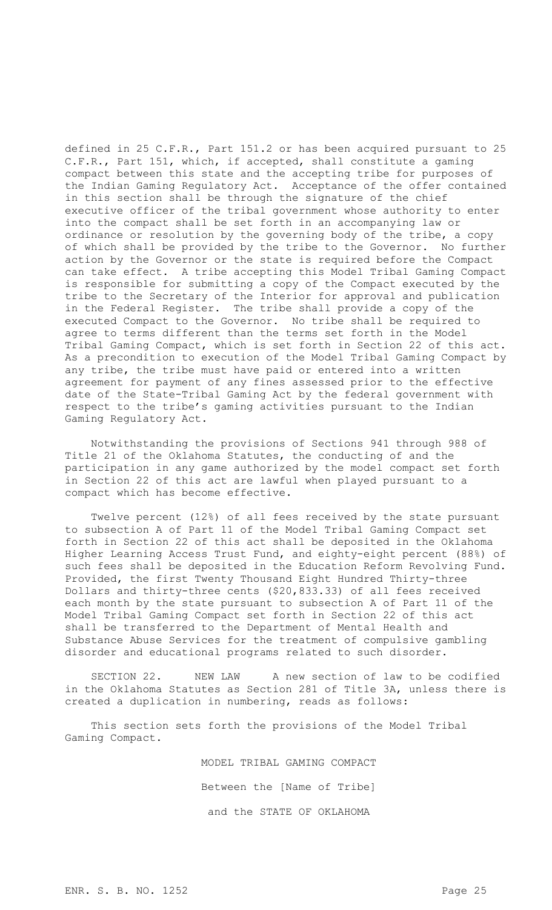defined in 25 C.F.R., Part 151.2 or has been acquired pursuant to 25 C.F.R., Part 151, which, if accepted, shall constitute a gaming compact between this state and the accepting tribe for purposes of the Indian Gaming Regulatory Act. Acceptance of the offer contained in this section shall be through the signature of the chief executive officer of the tribal government whose authority to enter into the compact shall be set forth in an accompanying law or ordinance or resolution by the governing body of the tribe, a copy of which shall be provided by the tribe to the Governor. No further action by the Governor or the state is required before the Compact can take effect. A tribe accepting this Model Tribal Gaming Compact is responsible for submitting a copy of the Compact executed by the tribe to the Secretary of the Interior for approval and publication in the Federal Register. The tribe shall provide a copy of the executed Compact to the Governor. No tribe shall be required to agree to terms different than the terms set forth in the Model Tribal Gaming Compact, which is set forth in Section 22 of this act. As a precondition to execution of the Model Tribal Gaming Compact by any tribe, the tribe must have paid or entered into a written agreement for payment of any fines assessed prior to the effective date of the State-Tribal Gaming Act by the federal government with respect to the tribe's gaming activities pursuant to the Indian Gaming Regulatory Act.

Notwithstanding the provisions of Sections 941 through 988 of Title 21 of the Oklahoma Statutes, the conducting of and the participation in any game authorized by the model compact set forth in Section 22 of this act are lawful when played pursuant to a compact which has become effective.

Twelve percent (12%) of all fees received by the state pursuant to subsection A of Part 11 of the Model Tribal Gaming Compact set forth in Section 22 of this act shall be deposited in the Oklahoma Higher Learning Access Trust Fund, and eighty-eight percent (88%) of such fees shall be deposited in the Education Reform Revolving Fund. Provided, the first Twenty Thousand Eight Hundred Thirty-three Dollars and thirty-three cents (\$20,833.33) of all fees received each month by the state pursuant to subsection A of Part 11 of the Model Tribal Gaming Compact set forth in Section 22 of this act shall be transferred to the Department of Mental Health and Substance Abuse Services for the treatment of compulsive gambling disorder and educational programs related to such disorder.

SECTION 22. NEW LAW A new section of law to be codified in the Oklahoma Statutes as Section 281 of Title 3A, unless there is created a duplication in numbering, reads as follows:

This section sets forth the provisions of the Model Tribal Gaming Compact.

> MODEL TRIBAL GAMING COMPACT Between the [Name of Tribe] and the STATE OF OKLAHOMA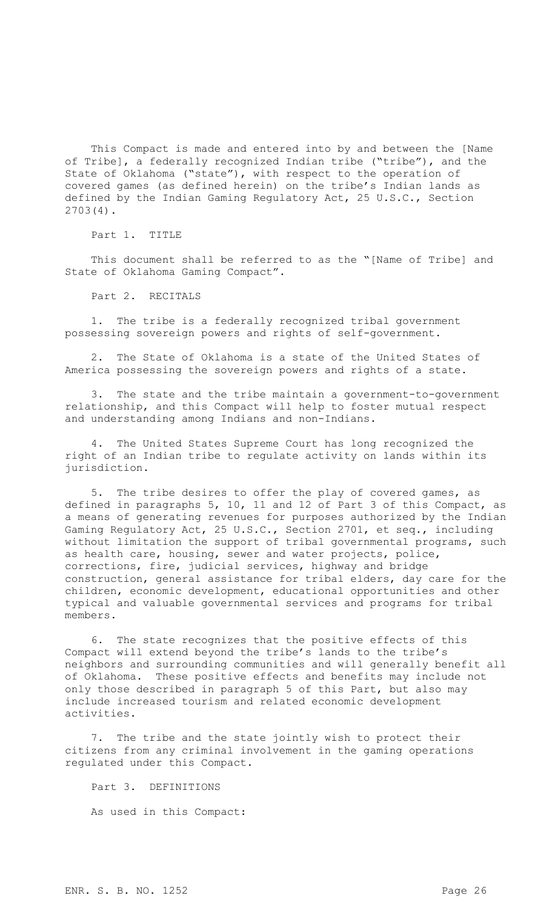This Compact is made and entered into by and between the [Name of Tribe], a federally recognized Indian tribe ("tribe"), and the State of Oklahoma ("state"), with respect to the operation of covered games (as defined herein) on the tribe's Indian lands as defined by the Indian Gaming Regulatory Act, 25 U.S.C., Section 2703(4).

Part 1. TITLE

This document shall be referred to as the "[Name of Tribe] and State of Oklahoma Gaming Compact".

Part 2. RECITALS

1. The tribe is a federally recognized tribal government possessing sovereign powers and rights of self-government.

The State of Oklahoma is a state of the United States of America possessing the sovereign powers and rights of a state.

3. The state and the tribe maintain a government-to-government relationship, and this Compact will help to foster mutual respect and understanding among Indians and non-Indians.

4. The United States Supreme Court has long recognized the right of an Indian tribe to regulate activity on lands within its jurisdiction.

5. The tribe desires to offer the play of covered games, as defined in paragraphs 5, 10, 11 and 12 of Part 3 of this Compact, as a means of generating revenues for purposes authorized by the Indian Gaming Regulatory Act, 25 U.S.C., Section 2701, et seq., including without limitation the support of tribal governmental programs, such as health care, housing, sewer and water projects, police, corrections, fire, judicial services, highway and bridge construction, general assistance for tribal elders, day care for the children, economic development, educational opportunities and other typical and valuable governmental services and programs for tribal members.

6. The state recognizes that the positive effects of this Compact will extend beyond the tribe's lands to the tribe's neighbors and surrounding communities and will generally benefit all of Oklahoma. These positive effects and benefits may include not only those described in paragraph 5 of this Part, but also may include increased tourism and related economic development activities.

7. The tribe and the state jointly wish to protect their citizens from any criminal involvement in the gaming operations regulated under this Compact.

Part 3. DEFINITIONS As used in this Compact: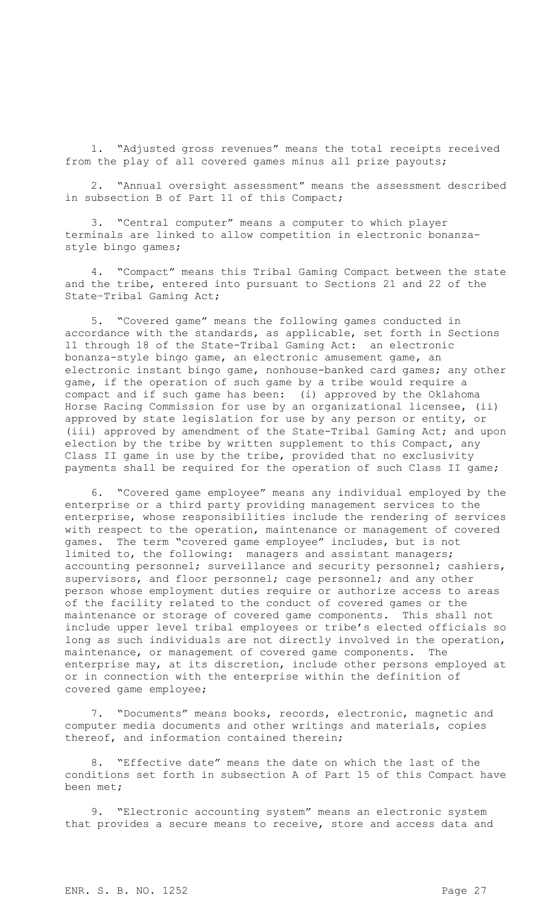1. "Adjusted gross revenues" means the total receipts received from the play of all covered games minus all prize payouts;

2. "Annual oversight assessment" means the assessment described in subsection B of Part 11 of this Compact;

3. "Central computer" means a computer to which player terminals are linked to allow competition in electronic bonanzastyle bingo games;

4. "Compact" means this Tribal Gaming Compact between the state and the tribe, entered into pursuant to Sections 21 and 22 of the State–Tribal Gaming Act;

5. "Covered game" means the following games conducted in accordance with the standards, as applicable, set forth in Sections 11 through 18 of the State-Tribal Gaming Act: an electronic bonanza-style bingo game, an electronic amusement game, an electronic instant bingo game, nonhouse-banked card games; any other game, if the operation of such game by a tribe would require a compact and if such game has been: (i) approved by the Oklahoma Horse Racing Commission for use by an organizational licensee, (ii) approved by state legislation for use by any person or entity, or (iii) approved by amendment of the State-Tribal Gaming Act; and upon election by the tribe by written supplement to this Compact, any Class II game in use by the tribe, provided that no exclusivity payments shall be required for the operation of such Class II game;

6. "Covered game employee" means any individual employed by the enterprise or a third party providing management services to the enterprise, whose responsibilities include the rendering of services with respect to the operation, maintenance or management of covered games. The term "covered game employee" includes, but is not limited to, the following: managers and assistant managers; accounting personnel; surveillance and security personnel; cashiers, supervisors, and floor personnel; cage personnel; and any other person whose employment duties require or authorize access to areas of the facility related to the conduct of covered games or the maintenance or storage of covered game components. This shall not include upper level tribal employees or tribe's elected officials so long as such individuals are not directly involved in the operation, maintenance, or management of covered game components. The enterprise may, at its discretion, include other persons employed at or in connection with the enterprise within the definition of covered game employee;

7. "Documents" means books, records, electronic, magnetic and computer media documents and other writings and materials, copies thereof, and information contained therein;

8. "Effective date" means the date on which the last of the conditions set forth in subsection A of Part 15 of this Compact have been met;

9. "Electronic accounting system" means an electronic system that provides a secure means to receive, store and access data and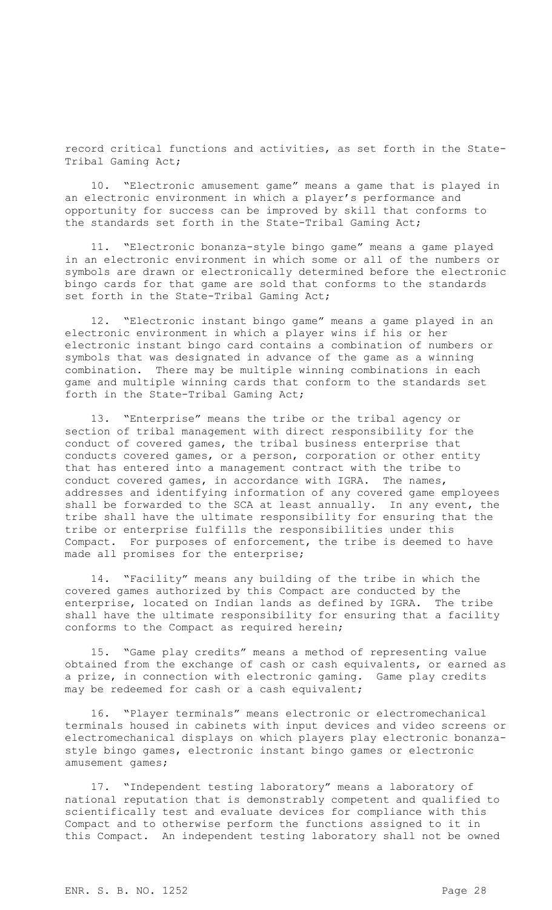record critical functions and activities, as set forth in the State-Tribal Gaming Act;

10. "Electronic amusement game" means a game that is played in an electronic environment in which a player's performance and opportunity for success can be improved by skill that conforms to the standards set forth in the State-Tribal Gaming Act;

11. "Electronic bonanza-style bingo game" means a game played in an electronic environment in which some or all of the numbers or symbols are drawn or electronically determined before the electronic bingo cards for that game are sold that conforms to the standards set forth in the State-Tribal Gaming Act;

12. "Electronic instant bingo game" means a game played in an electronic environment in which a player wins if his or her electronic instant bingo card contains a combination of numbers or symbols that was designated in advance of the game as a winning combination. There may be multiple winning combinations in each game and multiple winning cards that conform to the standards set forth in the State-Tribal Gaming Act;

13. "Enterprise" means the tribe or the tribal agency or section of tribal management with direct responsibility for the conduct of covered games, the tribal business enterprise that conducts covered games, or a person, corporation or other entity that has entered into a management contract with the tribe to conduct covered games, in accordance with IGRA. The names, addresses and identifying information of any covered game employees shall be forwarded to the SCA at least annually. In any event, the tribe shall have the ultimate responsibility for ensuring that the tribe or enterprise fulfills the responsibilities under this Compact. For purposes of enforcement, the tribe is deemed to have made all promises for the enterprise;

14. "Facility" means any building of the tribe in which the covered games authorized by this Compact are conducted by the enterprise, located on Indian lands as defined by IGRA. The tribe shall have the ultimate responsibility for ensuring that a facility conforms to the Compact as required herein;

15. "Game play credits" means a method of representing value obtained from the exchange of cash or cash equivalents, or earned as a prize, in connection with electronic gaming. Game play credits may be redeemed for cash or a cash equivalent;

16. "Player terminals" means electronic or electromechanical terminals housed in cabinets with input devices and video screens or electromechanical displays on which players play electronic bonanzastyle bingo games, electronic instant bingo games or electronic amusement games;

17. "Independent testing laboratory" means a laboratory of national reputation that is demonstrably competent and qualified to scientifically test and evaluate devices for compliance with this Compact and to otherwise perform the functions assigned to it in this Compact. An independent testing laboratory shall not be owned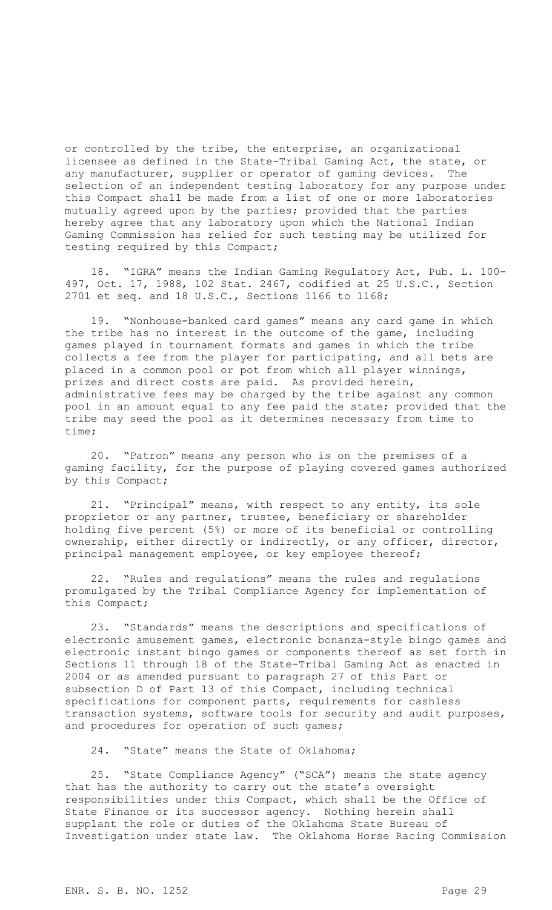or controlled by the tribe, the enterprise, an organizational licensee as defined in the State-Tribal Gaming Act, the state, or any manufacturer, supplier or operator of gaming devices. The selection of an independent testing laboratory for any purpose under this Compact shall be made from a list of one or more laboratories mutually agreed upon by the parties; provided that the parties hereby agree that any laboratory upon which the National Indian Gaming Commission has relied for such testing may be utilized for testing required by this Compact;

18. "IGRA" means the Indian Gaming Regulatory Act, Pub. L. 100- 497, Oct. 17, 1988, 102 Stat. 2467, codified at 25 U.S.C., Section 2701 et seq. and 18 U.S.C., Sections 1166 to 1168;

19. "Nonhouse-banked card games" means any card game in which the tribe has no interest in the outcome of the game, including games played in tournament formats and games in which the tribe collects a fee from the player for participating, and all bets are placed in a common pool or pot from which all player winnings, prizes and direct costs are paid. As provided herein, administrative fees may be charged by the tribe against any common pool in an amount equal to any fee paid the state; provided that the tribe may seed the pool as it determines necessary from time to time;

20. "Patron" means any person who is on the premises of a gaming facility, for the purpose of playing covered games authorized by this Compact;

21. "Principal" means, with respect to any entity, its sole proprietor or any partner, trustee, beneficiary or shareholder holding five percent (5%) or more of its beneficial or controlling ownership, either directly or indirectly, or any officer, director, principal management employee, or key employee thereof;

22. "Rules and regulations" means the rules and regulations promulgated by the Tribal Compliance Agency for implementation of this Compact;

23. "Standards" means the descriptions and specifications of electronic amusement games, electronic bonanza-style bingo games and electronic instant bingo games or components thereof as set forth in Sections 11 through 18 of the State-Tribal Gaming Act as enacted in 2004 or as amended pursuant to paragraph 27 of this Part or subsection D of Part 13 of this Compact, including technical specifications for component parts, requirements for cashless transaction systems, software tools for security and audit purposes, and procedures for operation of such games;

24. "State" means the State of Oklahoma;

25. "State Compliance Agency" ("SCA") means the state agency that has the authority to carry out the state's oversight responsibilities under this Compact, which shall be the Office of State Finance or its successor agency. Nothing herein shall supplant the role or duties of the Oklahoma State Bureau of Investigation under state law. The Oklahoma Horse Racing Commission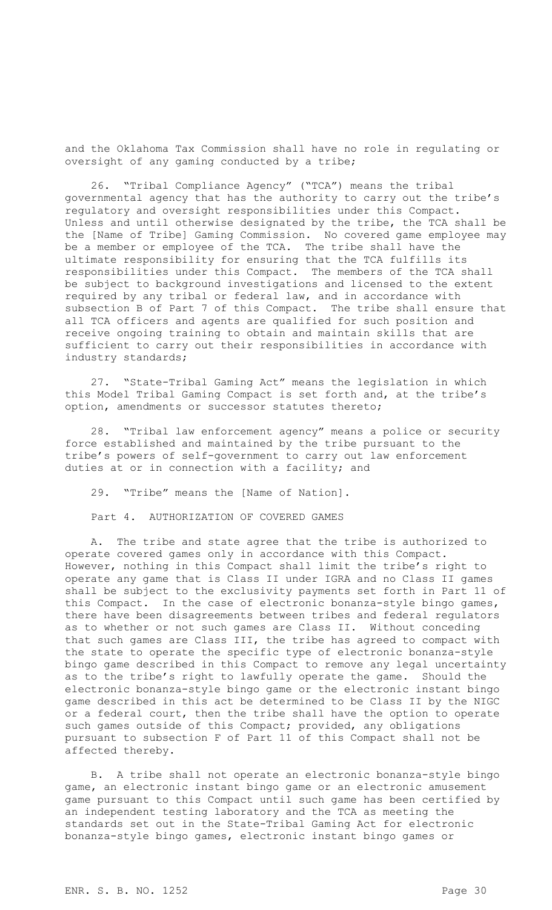and the Oklahoma Tax Commission shall have no role in regulating or oversight of any gaming conducted by a tribe;

26. "Tribal Compliance Agency" ("TCA") means the tribal governmental agency that has the authority to carry out the tribe's regulatory and oversight responsibilities under this Compact. Unless and until otherwise designated by the tribe, the TCA shall be the [Name of Tribe] Gaming Commission. No covered game employee may be a member or employee of the TCA. The tribe shall have the ultimate responsibility for ensuring that the TCA fulfills its responsibilities under this Compact. The members of the TCA shall be subject to background investigations and licensed to the extent required by any tribal or federal law, and in accordance with subsection B of Part 7 of this Compact. The tribe shall ensure that all TCA officers and agents are qualified for such position and receive ongoing training to obtain and maintain skills that are sufficient to carry out their responsibilities in accordance with industry standards;

27. "State-Tribal Gaming Act" means the legislation in which this Model Tribal Gaming Compact is set forth and, at the tribe's option, amendments or successor statutes thereto;

28. "Tribal law enforcement agency" means a police or security force established and maintained by the tribe pursuant to the tribe's powers of self-government to carry out law enforcement duties at or in connection with a facility; and

29. "Tribe" means the [Name of Nation].

Part 4. AUTHORIZATION OF COVERED GAMES

A. The tribe and state agree that the tribe is authorized to operate covered games only in accordance with this Compact. However, nothing in this Compact shall limit the tribe's right to operate any game that is Class II under IGRA and no Class II games shall be subject to the exclusivity payments set forth in Part 11 of this Compact. In the case of electronic bonanza-style bingo games, there have been disagreements between tribes and federal regulators as to whether or not such games are Class II. Without conceding that such games are Class III, the tribe has agreed to compact with the state to operate the specific type of electronic bonanza-style bingo game described in this Compact to remove any legal uncertainty as to the tribe's right to lawfully operate the game. Should the electronic bonanza-style bingo game or the electronic instant bingo game described in this act be determined to be Class II by the NIGC or a federal court, then the tribe shall have the option to operate such games outside of this Compact; provided, any obligations pursuant to subsection F of Part 11 of this Compact shall not be affected thereby.

B. A tribe shall not operate an electronic bonanza-style bingo game, an electronic instant bingo game or an electronic amusement game pursuant to this Compact until such game has been certified by an independent testing laboratory and the TCA as meeting the standards set out in the State-Tribal Gaming Act for electronic bonanza-style bingo games, electronic instant bingo games or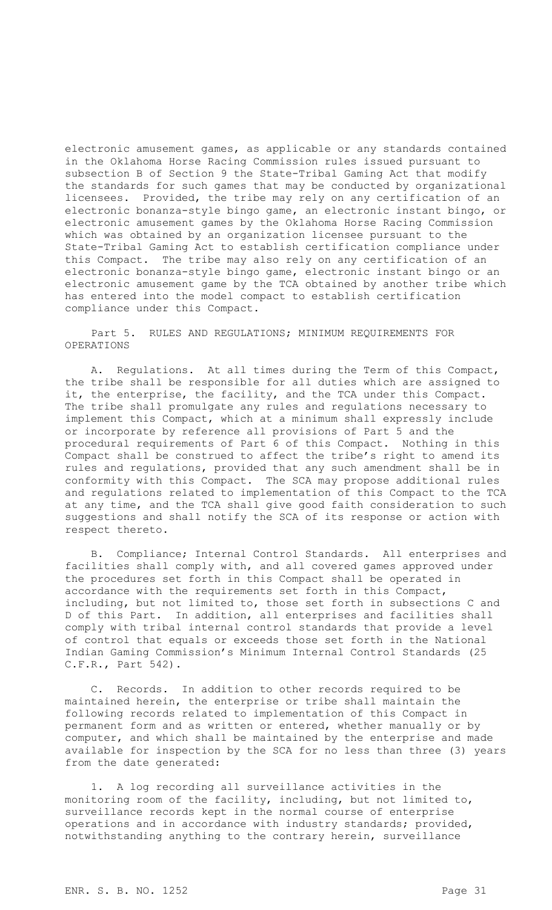electronic amusement games, as applicable or any standards contained in the Oklahoma Horse Racing Commission rules issued pursuant to subsection B of Section 9 the State-Tribal Gaming Act that modify the standards for such games that may be conducted by organizational licensees. Provided, the tribe may rely on any certification of an electronic bonanza-style bingo game, an electronic instant bingo, or electronic amusement games by the Oklahoma Horse Racing Commission which was obtained by an organization licensee pursuant to the State-Tribal Gaming Act to establish certification compliance under this Compact. The tribe may also rely on any certification of an electronic bonanza-style bingo game, electronic instant bingo or an electronic amusement game by the TCA obtained by another tribe which has entered into the model compact to establish certification compliance under this Compact.

Part 5. RULES AND REGULATIONS; MINIMUM REQUIREMENTS FOR OPERATIONS

A. Regulations. At all times during the Term of this Compact, the tribe shall be responsible for all duties which are assigned to it, the enterprise, the facility, and the TCA under this Compact. The tribe shall promulgate any rules and regulations necessary to implement this Compact, which at a minimum shall expressly include or incorporate by reference all provisions of Part 5 and the procedural requirements of Part 6 of this Compact. Nothing in this Compact shall be construed to affect the tribe's right to amend its rules and regulations, provided that any such amendment shall be in conformity with this Compact. The SCA may propose additional rules and regulations related to implementation of this Compact to the TCA at any time, and the TCA shall give good faith consideration to such suggestions and shall notify the SCA of its response or action with respect thereto.

B. Compliance; Internal Control Standards. All enterprises and facilities shall comply with, and all covered games approved under the procedures set forth in this Compact shall be operated in accordance with the requirements set forth in this Compact, including, but not limited to, those set forth in subsections C and D of this Part. In addition, all enterprises and facilities shall comply with tribal internal control standards that provide a level of control that equals or exceeds those set forth in the National Indian Gaming Commission's Minimum Internal Control Standards (25 C.F.R., Part 542).

C. Records. In addition to other records required to be maintained herein, the enterprise or tribe shall maintain the following records related to implementation of this Compact in permanent form and as written or entered, whether manually or by computer, and which shall be maintained by the enterprise and made available for inspection by the SCA for no less than three (3) years from the date generated:

1. A log recording all surveillance activities in the monitoring room of the facility, including, but not limited to, surveillance records kept in the normal course of enterprise operations and in accordance with industry standards; provided, notwithstanding anything to the contrary herein, surveillance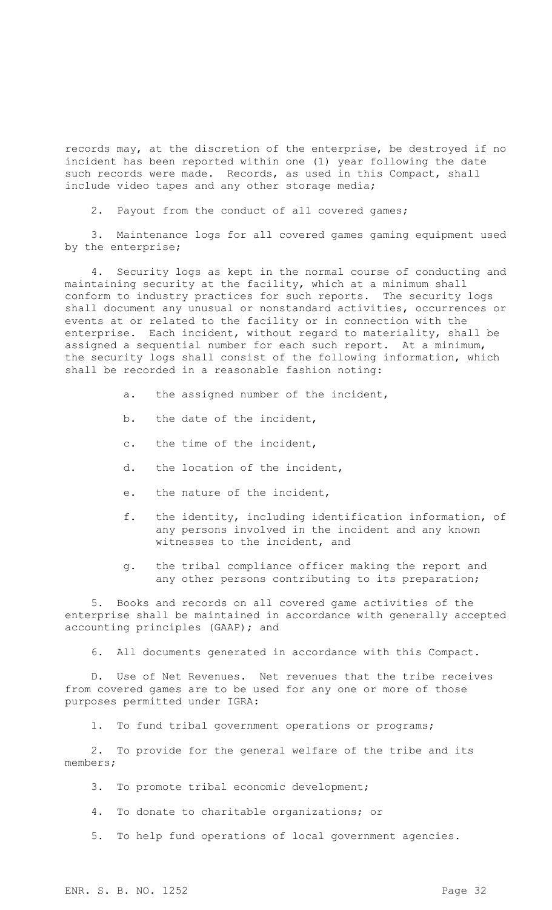records may, at the discretion of the enterprise, be destroyed if no incident has been reported within one (1) year following the date such records were made. Records, as used in this Compact, shall include video tapes and any other storage media;

2. Payout from the conduct of all covered games;

3. Maintenance logs for all covered games gaming equipment used by the enterprise;

4. Security logs as kept in the normal course of conducting and maintaining security at the facility, which at a minimum shall conform to industry practices for such reports. The security logs shall document any unusual or nonstandard activities, occurrences or events at or related to the facility or in connection with the enterprise. Each incident, without regard to materiality, shall be assigned a sequential number for each such report. At a minimum, the security logs shall consist of the following information, which shall be recorded in a reasonable fashion noting:

- a. the assigned number of the incident,
- b. the date of the incident,
- c. the time of the incident,
- d. the location of the incident,
- e. the nature of the incident,
- f. the identity, including identification information, of any persons involved in the incident and any known witnesses to the incident, and
- g. the tribal compliance officer making the report and any other persons contributing to its preparation;

5. Books and records on all covered game activities of the enterprise shall be maintained in accordance with generally accepted accounting principles (GAAP); and

6. All documents generated in accordance with this Compact.

D. Use of Net Revenues. Net revenues that the tribe receives from covered games are to be used for any one or more of those purposes permitted under IGRA:

1. To fund tribal government operations or programs;

2. To provide for the general welfare of the tribe and its members;

- 3. To promote tribal economic development;
- 4. To donate to charitable organizations; or
- 5. To help fund operations of local government agencies.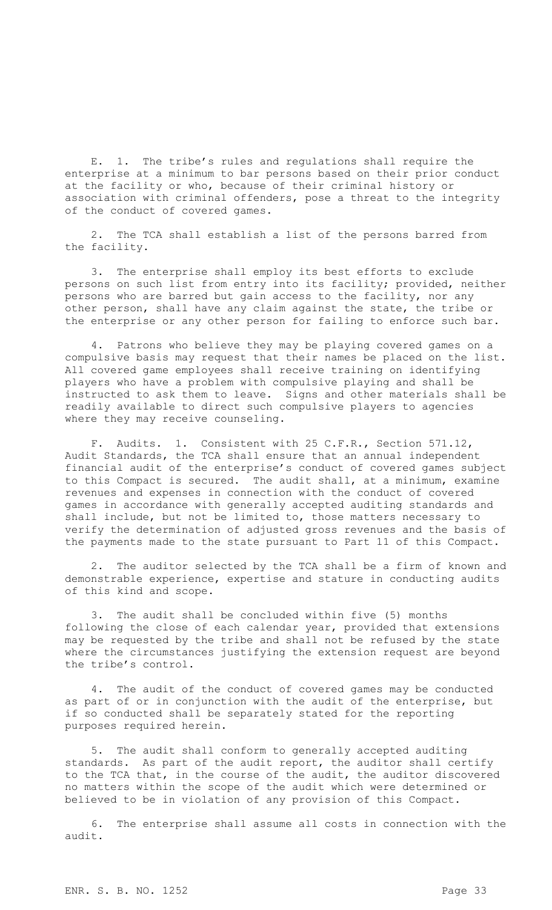E. 1. The tribe's rules and regulations shall require the enterprise at a minimum to bar persons based on their prior conduct at the facility or who, because of their criminal history or association with criminal offenders, pose a threat to the integrity of the conduct of covered games.

2. The TCA shall establish a list of the persons barred from the facility.

3. The enterprise shall employ its best efforts to exclude persons on such list from entry into its facility; provided, neither persons who are barred but gain access to the facility, nor any other person, shall have any claim against the state, the tribe or the enterprise or any other person for failing to enforce such bar.

4. Patrons who believe they may be playing covered games on a compulsive basis may request that their names be placed on the list. All covered game employees shall receive training on identifying players who have a problem with compulsive playing and shall be instructed to ask them to leave. Signs and other materials shall be readily available to direct such compulsive players to agencies where they may receive counseling.

F. Audits. 1. Consistent with 25 C.F.R., Section 571.12, Audit Standards, the TCA shall ensure that an annual independent financial audit of the enterprise's conduct of covered games subject to this Compact is secured. The audit shall, at a minimum, examine revenues and expenses in connection with the conduct of covered games in accordance with generally accepted auditing standards and shall include, but not be limited to, those matters necessary to verify the determination of adjusted gross revenues and the basis of the payments made to the state pursuant to Part 11 of this Compact.

2. The auditor selected by the TCA shall be a firm of known and demonstrable experience, expertise and stature in conducting audits of this kind and scope.

3. The audit shall be concluded within five (5) months following the close of each calendar year, provided that extensions may be requested by the tribe and shall not be refused by the state where the circumstances justifying the extension request are beyond the tribe's control.

4. The audit of the conduct of covered games may be conducted as part of or in conjunction with the audit of the enterprise, but if so conducted shall be separately stated for the reporting purposes required herein.

5. The audit shall conform to generally accepted auditing standards. As part of the audit report, the auditor shall certify to the TCA that, in the course of the audit, the auditor discovered no matters within the scope of the audit which were determined or believed to be in violation of any provision of this Compact.

6. The enterprise shall assume all costs in connection with the audit.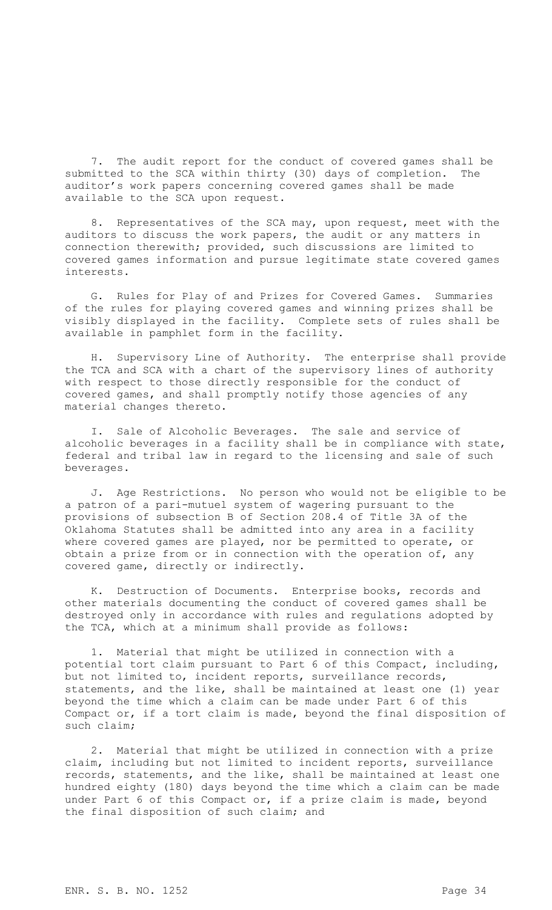7. The audit report for the conduct of covered games shall be submitted to the SCA within thirty (30) days of completion. The auditor's work papers concerning covered games shall be made available to the SCA upon request.

8. Representatives of the SCA may, upon request, meet with the auditors to discuss the work papers, the audit or any matters in connection therewith; provided, such discussions are limited to covered games information and pursue legitimate state covered games interests.

G. Rules for Play of and Prizes for Covered Games. Summaries of the rules for playing covered games and winning prizes shall be visibly displayed in the facility. Complete sets of rules shall be available in pamphlet form in the facility.

H. Supervisory Line of Authority. The enterprise shall provide the TCA and SCA with a chart of the supervisory lines of authority with respect to those directly responsible for the conduct of covered games, and shall promptly notify those agencies of any material changes thereto.

I. Sale of Alcoholic Beverages. The sale and service of alcoholic beverages in a facility shall be in compliance with state, federal and tribal law in regard to the licensing and sale of such beverages.

J. Age Restrictions. No person who would not be eligible to be a patron of a pari-mutuel system of wagering pursuant to the provisions of subsection B of Section 208.4 of Title 3A of the Oklahoma Statutes shall be admitted into any area in a facility where covered games are played, nor be permitted to operate, or obtain a prize from or in connection with the operation of, any covered game, directly or indirectly.

K. Destruction of Documents. Enterprise books, records and other materials documenting the conduct of covered games shall be destroyed only in accordance with rules and regulations adopted by the TCA, which at a minimum shall provide as follows:

1. Material that might be utilized in connection with a potential tort claim pursuant to Part 6 of this Compact, including, but not limited to, incident reports, surveillance records, statements, and the like, shall be maintained at least one (1) year beyond the time which a claim can be made under Part 6 of this Compact or, if a tort claim is made, beyond the final disposition of such claim;

2. Material that might be utilized in connection with a prize claim, including but not limited to incident reports, surveillance records, statements, and the like, shall be maintained at least one hundred eighty (180) days beyond the time which a claim can be made under Part 6 of this Compact or, if a prize claim is made, beyond the final disposition of such claim; and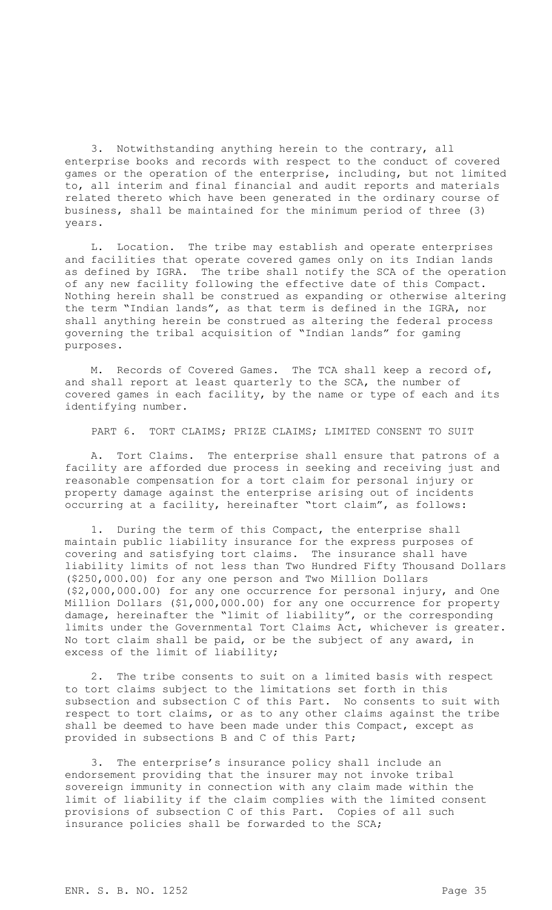3. Notwithstanding anything herein to the contrary, all enterprise books and records with respect to the conduct of covered games or the operation of the enterprise, including, but not limited to, all interim and final financial and audit reports and materials related thereto which have been generated in the ordinary course of business, shall be maintained for the minimum period of three (3) years.

L. Location. The tribe may establish and operate enterprises and facilities that operate covered games only on its Indian lands as defined by IGRA. The tribe shall notify the SCA of the operation of any new facility following the effective date of this Compact. Nothing herein shall be construed as expanding or otherwise altering the term "Indian lands", as that term is defined in the IGRA, nor shall anything herein be construed as altering the federal process governing the tribal acquisition of "Indian lands" for gaming purposes.

M. Records of Covered Games. The TCA shall keep a record of, and shall report at least quarterly to the SCA, the number of covered games in each facility, by the name or type of each and its identifying number.

PART 6. TORT CLAIMS; PRIZE CLAIMS; LIMITED CONSENT TO SUIT

A. Tort Claims. The enterprise shall ensure that patrons of a facility are afforded due process in seeking and receiving just and reasonable compensation for a tort claim for personal injury or property damage against the enterprise arising out of incidents occurring at a facility, hereinafter "tort claim", as follows:

1. During the term of this Compact, the enterprise shall maintain public liability insurance for the express purposes of covering and satisfying tort claims. The insurance shall have liability limits of not less than Two Hundred Fifty Thousand Dollars (\$250,000.00) for any one person and Two Million Dollars (\$2,000,000.00) for any one occurrence for personal injury, and One Million Dollars (\$1,000,000.00) for any one occurrence for property damage, hereinafter the "limit of liability", or the corresponding limits under the Governmental Tort Claims Act, whichever is greater. No tort claim shall be paid, or be the subject of any award, in excess of the limit of liability;

2. The tribe consents to suit on a limited basis with respect to tort claims subject to the limitations set forth in this subsection and subsection C of this Part. No consents to suit with respect to tort claims, or as to any other claims against the tribe shall be deemed to have been made under this Compact, except as provided in subsections B and C of this Part;

3. The enterprise's insurance policy shall include an endorsement providing that the insurer may not invoke tribal sovereign immunity in connection with any claim made within the limit of liability if the claim complies with the limited consent provisions of subsection C of this Part. Copies of all such insurance policies shall be forwarded to the SCA;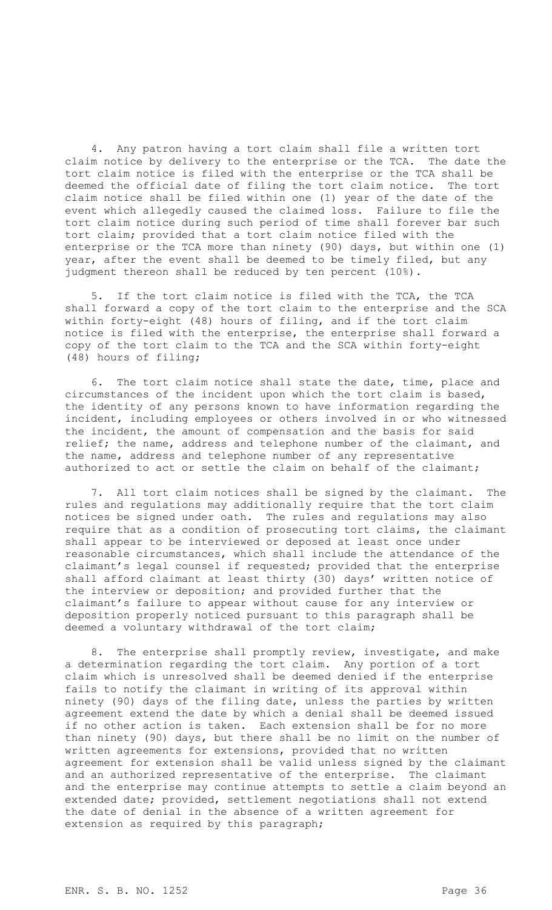4. Any patron having a tort claim shall file a written tort claim notice by delivery to the enterprise or the TCA. The date the tort claim notice is filed with the enterprise or the TCA shall be deemed the official date of filing the tort claim notice. The tort claim notice shall be filed within one (1) year of the date of the event which allegedly caused the claimed loss. Failure to file the tort claim notice during such period of time shall forever bar such tort claim; provided that a tort claim notice filed with the enterprise or the TCA more than ninety (90) days, but within one (1) year, after the event shall be deemed to be timely filed, but any judgment thereon shall be reduced by ten percent (10%).

5. If the tort claim notice is filed with the TCA, the TCA shall forward a copy of the tort claim to the enterprise and the SCA within forty-eight (48) hours of filing, and if the tort claim notice is filed with the enterprise, the enterprise shall forward a copy of the tort claim to the TCA and the SCA within forty-eight (48) hours of filing;

6. The tort claim notice shall state the date, time, place and circumstances of the incident upon which the tort claim is based, the identity of any persons known to have information regarding the incident, including employees or others involved in or who witnessed the incident, the amount of compensation and the basis for said relief; the name, address and telephone number of the claimant, and the name, address and telephone number of any representative authorized to act or settle the claim on behalf of the claimant;

7. All tort claim notices shall be signed by the claimant. The rules and regulations may additionally require that the tort claim notices be signed under oath. The rules and regulations may also require that as a condition of prosecuting tort claims, the claimant shall appear to be interviewed or deposed at least once under reasonable circumstances, which shall include the attendance of the claimant's legal counsel if requested; provided that the enterprise shall afford claimant at least thirty (30) days' written notice of the interview or deposition; and provided further that the claimant's failure to appear without cause for any interview or deposition properly noticed pursuant to this paragraph shall be deemed a voluntary withdrawal of the tort claim;

8. The enterprise shall promptly review, investigate, and make a determination regarding the tort claim. Any portion of a tort claim which is unresolved shall be deemed denied if the enterprise fails to notify the claimant in writing of its approval within ninety (90) days of the filing date, unless the parties by written agreement extend the date by which a denial shall be deemed issued if no other action is taken. Each extension shall be for no more than ninety (90) days, but there shall be no limit on the number of written agreements for extensions, provided that no written agreement for extension shall be valid unless signed by the claimant and an authorized representative of the enterprise. The claimant and the enterprise may continue attempts to settle a claim beyond an extended date; provided, settlement negotiations shall not extend the date of denial in the absence of a written agreement for extension as required by this paragraph;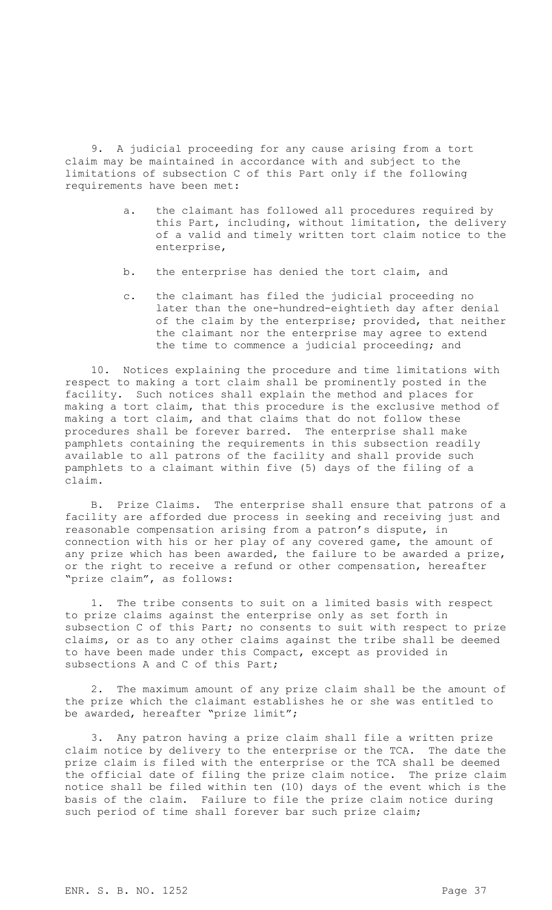9. A judicial proceeding for any cause arising from a tort claim may be maintained in accordance with and subject to the limitations of subsection C of this Part only if the following requirements have been met:

- a. the claimant has followed all procedures required by this Part, including, without limitation, the delivery of a valid and timely written tort claim notice to the enterprise,
- b. the enterprise has denied the tort claim, and
- c. the claimant has filed the judicial proceeding no later than the one-hundred-eightieth day after denial of the claim by the enterprise; provided, that neither the claimant nor the enterprise may agree to extend the time to commence a judicial proceeding; and

10. Notices explaining the procedure and time limitations with respect to making a tort claim shall be prominently posted in the facility. Such notices shall explain the method and places for making a tort claim, that this procedure is the exclusive method of making a tort claim, and that claims that do not follow these procedures shall be forever barred. The enterprise shall make pamphlets containing the requirements in this subsection readily available to all patrons of the facility and shall provide such pamphlets to a claimant within five (5) days of the filing of a claim.

B. Prize Claims. The enterprise shall ensure that patrons of a facility are afforded due process in seeking and receiving just and reasonable compensation arising from a patron's dispute, in connection with his or her play of any covered game, the amount of any prize which has been awarded, the failure to be awarded a prize, or the right to receive a refund or other compensation, hereafter "prize claim", as follows:

1. The tribe consents to suit on a limited basis with respect to prize claims against the enterprise only as set forth in subsection C of this Part; no consents to suit with respect to prize claims, or as to any other claims against the tribe shall be deemed to have been made under this Compact, except as provided in subsections A and C of this Part;

2. The maximum amount of any prize claim shall be the amount of the prize which the claimant establishes he or she was entitled to be awarded, hereafter "prize limit";

3. Any patron having a prize claim shall file a written prize claim notice by delivery to the enterprise or the TCA. The date the prize claim is filed with the enterprise or the TCA shall be deemed the official date of filing the prize claim notice. The prize claim notice shall be filed within ten (10) days of the event which is the basis of the claim. Failure to file the prize claim notice during such period of time shall forever bar such prize claim;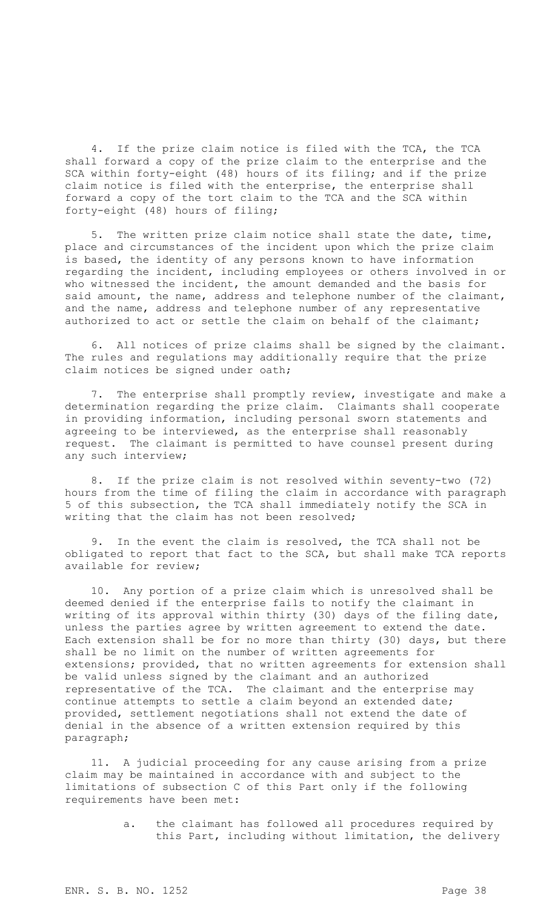4. If the prize claim notice is filed with the TCA, the TCA shall forward a copy of the prize claim to the enterprise and the SCA within forty-eight (48) hours of its filing; and if the prize claim notice is filed with the enterprise, the enterprise shall forward a copy of the tort claim to the TCA and the SCA within forty-eight (48) hours of filing;

5. The written prize claim notice shall state the date, time, place and circumstances of the incident upon which the prize claim is based, the identity of any persons known to have information regarding the incident, including employees or others involved in or who witnessed the incident, the amount demanded and the basis for said amount, the name, address and telephone number of the claimant, and the name, address and telephone number of any representative authorized to act or settle the claim on behalf of the claimant;

6. All notices of prize claims shall be signed by the claimant. The rules and regulations may additionally require that the prize claim notices be signed under oath;

7. The enterprise shall promptly review, investigate and make a determination regarding the prize claim. Claimants shall cooperate in providing information, including personal sworn statements and agreeing to be interviewed, as the enterprise shall reasonably request. The claimant is permitted to have counsel present during any such interview;

8. If the prize claim is not resolved within seventy-two (72) hours from the time of filing the claim in accordance with paragraph 5 of this subsection, the TCA shall immediately notify the SCA in writing that the claim has not been resolved;

9. In the event the claim is resolved, the TCA shall not be obligated to report that fact to the SCA, but shall make TCA reports available for review;

10. Any portion of a prize claim which is unresolved shall be deemed denied if the enterprise fails to notify the claimant in writing of its approval within thirty (30) days of the filing date, unless the parties agree by written agreement to extend the date. Each extension shall be for no more than thirty (30) days, but there shall be no limit on the number of written agreements for extensions; provided, that no written agreements for extension shall be valid unless signed by the claimant and an authorized representative of the TCA. The claimant and the enterprise may continue attempts to settle a claim beyond an extended date; provided, settlement negotiations shall not extend the date of denial in the absence of a written extension required by this paragraph;

11. A judicial proceeding for any cause arising from a prize claim may be maintained in accordance with and subject to the limitations of subsection C of this Part only if the following requirements have been met:

> a. the claimant has followed all procedures required by this Part, including without limitation, the delivery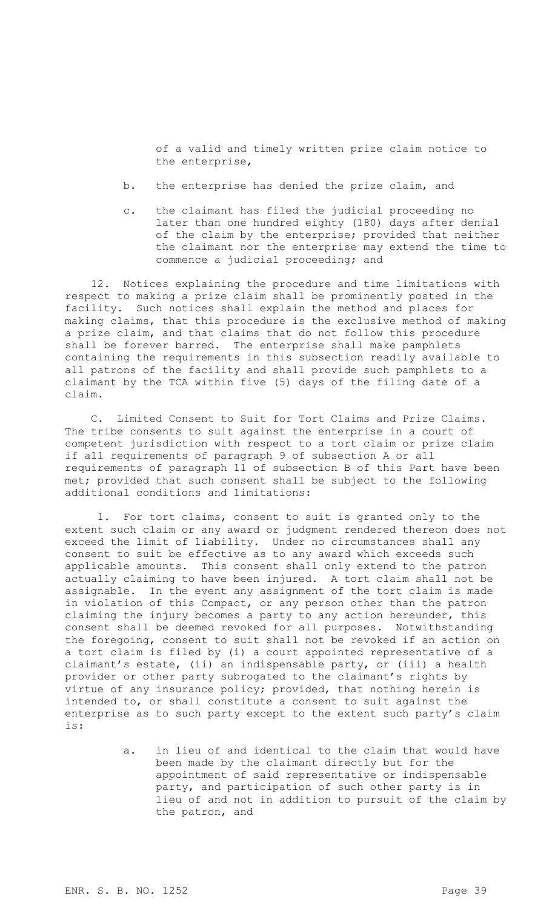of a valid and timely written prize claim notice to the enterprise,

- b. the enterprise has denied the prize claim, and
- c. the claimant has filed the judicial proceeding no later than one hundred eighty (180) days after denial of the claim by the enterprise; provided that neither the claimant nor the enterprise may extend the time to commence a judicial proceeding; and

12. Notices explaining the procedure and time limitations with respect to making a prize claim shall be prominently posted in the facility. Such notices shall explain the method and places for making claims, that this procedure is the exclusive method of making a prize claim, and that claims that do not follow this procedure shall be forever barred. The enterprise shall make pamphlets containing the requirements in this subsection readily available to all patrons of the facility and shall provide such pamphlets to a claimant by the TCA within five (5) days of the filing date of a claim.

C. Limited Consent to Suit for Tort Claims and Prize Claims. The tribe consents to suit against the enterprise in a court of competent jurisdiction with respect to a tort claim or prize claim if all requirements of paragraph 9 of subsection A or all requirements of paragraph 11 of subsection B of this Part have been met; provided that such consent shall be subject to the following additional conditions and limitations:

1. For tort claims, consent to suit is granted only to the extent such claim or any award or judgment rendered thereon does not exceed the limit of liability. Under no circumstances shall any consent to suit be effective as to any award which exceeds such applicable amounts. This consent shall only extend to the patron actually claiming to have been injured. A tort claim shall not be assignable. In the event any assignment of the tort claim is made in violation of this Compact, or any person other than the patron claiming the injury becomes a party to any action hereunder, this consent shall be deemed revoked for all purposes. Notwithstanding the foregoing, consent to suit shall not be revoked if an action on a tort claim is filed by (i) a court appointed representative of a claimant's estate, (ii) an indispensable party, or (iii) a health provider or other party subrogated to the claimant's rights by virtue of any insurance policy; provided, that nothing herein is intended to, or shall constitute a consent to suit against the enterprise as to such party except to the extent such party's claim is:

> a. in lieu of and identical to the claim that would have been made by the claimant directly but for the appointment of said representative or indispensable party, and participation of such other party is in lieu of and not in addition to pursuit of the claim by the patron, and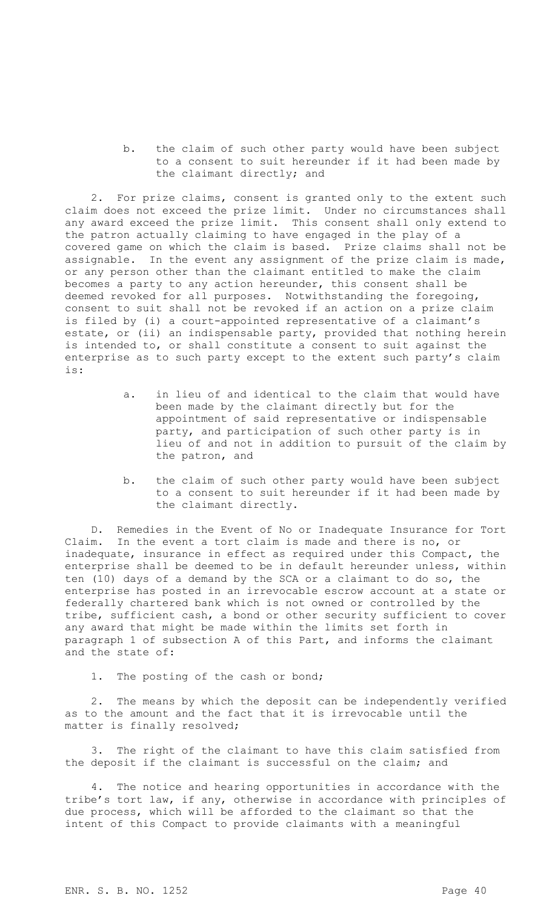b. the claim of such other party would have been subject to a consent to suit hereunder if it had been made by the claimant directly; and

2. For prize claims, consent is granted only to the extent such claim does not exceed the prize limit. Under no circumstances shall any award exceed the prize limit. This consent shall only extend to the patron actually claiming to have engaged in the play of a covered game on which the claim is based. Prize claims shall not be assignable. In the event any assignment of the prize claim is made, or any person other than the claimant entitled to make the claim becomes a party to any action hereunder, this consent shall be deemed revoked for all purposes. Notwithstanding the foregoing, consent to suit shall not be revoked if an action on a prize claim is filed by (i) a court-appointed representative of a claimant's estate, or (ii) an indispensable party, provided that nothing herein is intended to, or shall constitute a consent to suit against the enterprise as to such party except to the extent such party's claim is:

- a. in lieu of and identical to the claim that would have been made by the claimant directly but for the appointment of said representative or indispensable party, and participation of such other party is in lieu of and not in addition to pursuit of the claim by the patron, and
- b. the claim of such other party would have been subject to a consent to suit hereunder if it had been made by the claimant directly.

D. Remedies in the Event of No or Inadequate Insurance for Tort Claim. In the event a tort claim is made and there is no, or inadequate, insurance in effect as required under this Compact, the enterprise shall be deemed to be in default hereunder unless, within ten (10) days of a demand by the SCA or a claimant to do so, the enterprise has posted in an irrevocable escrow account at a state or federally chartered bank which is not owned or controlled by the tribe, sufficient cash, a bond or other security sufficient to cover any award that might be made within the limits set forth in paragraph 1 of subsection A of this Part, and informs the claimant and the state of:

1. The posting of the cash or bond;

2. The means by which the deposit can be independently verified as to the amount and the fact that it is irrevocable until the matter is finally resolved;

3. The right of the claimant to have this claim satisfied from the deposit if the claimant is successful on the claim; and

4. The notice and hearing opportunities in accordance with the tribe's tort law, if any, otherwise in accordance with principles of due process, which will be afforded to the claimant so that the intent of this Compact to provide claimants with a meaningful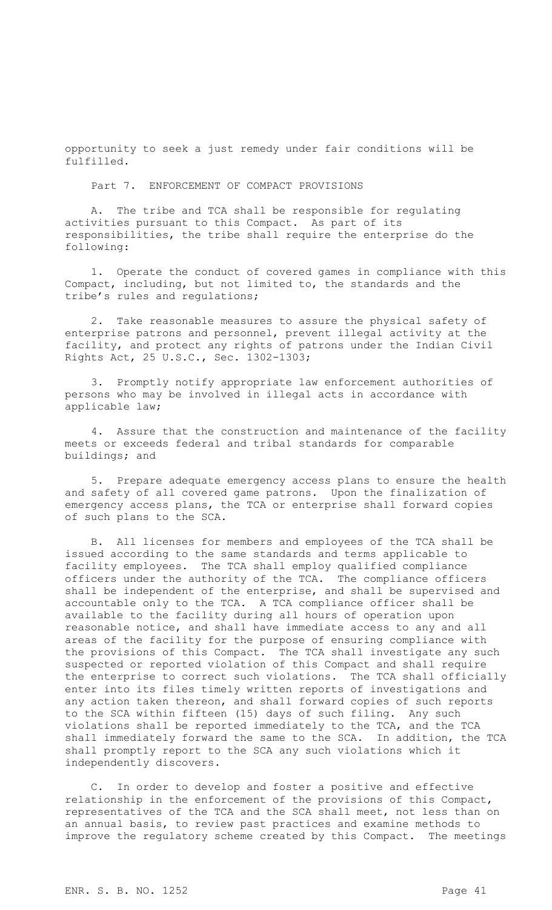opportunity to seek a just remedy under fair conditions will be fulfilled.

Part 7. ENFORCEMENT OF COMPACT PROVISIONS

A. The tribe and TCA shall be responsible for regulating activities pursuant to this Compact. As part of its responsibilities, the tribe shall require the enterprise do the following:

1. Operate the conduct of covered games in compliance with this Compact, including, but not limited to, the standards and the tribe's rules and regulations;

2. Take reasonable measures to assure the physical safety of enterprise patrons and personnel, prevent illegal activity at the facility, and protect any rights of patrons under the Indian Civil Rights Act, 25 U.S.C., Sec. 1302-1303;

3. Promptly notify appropriate law enforcement authorities of persons who may be involved in illegal acts in accordance with applicable law;

4. Assure that the construction and maintenance of the facility meets or exceeds federal and tribal standards for comparable buildings; and

5. Prepare adequate emergency access plans to ensure the health and safety of all covered game patrons. Upon the finalization of emergency access plans, the TCA or enterprise shall forward copies of such plans to the SCA.

B. All licenses for members and employees of the TCA shall be issued according to the same standards and terms applicable to facility employees. The TCA shall employ qualified compliance officers under the authority of the TCA. The compliance officers shall be independent of the enterprise, and shall be supervised and accountable only to the TCA. A TCA compliance officer shall be available to the facility during all hours of operation upon reasonable notice, and shall have immediate access to any and all areas of the facility for the purpose of ensuring compliance with the provisions of this Compact. The TCA shall investigate any such suspected or reported violation of this Compact and shall require the enterprise to correct such violations. The TCA shall officially enter into its files timely written reports of investigations and any action taken thereon, and shall forward copies of such reports to the SCA within fifteen (15) days of such filing. Any such violations shall be reported immediately to the TCA, and the TCA shall immediately forward the same to the SCA. In addition, the TCA shall promptly report to the SCA any such violations which it independently discovers.

C. In order to develop and foster a positive and effective relationship in the enforcement of the provisions of this Compact, representatives of the TCA and the SCA shall meet, not less than on an annual basis, to review past practices and examine methods to improve the regulatory scheme created by this Compact. The meetings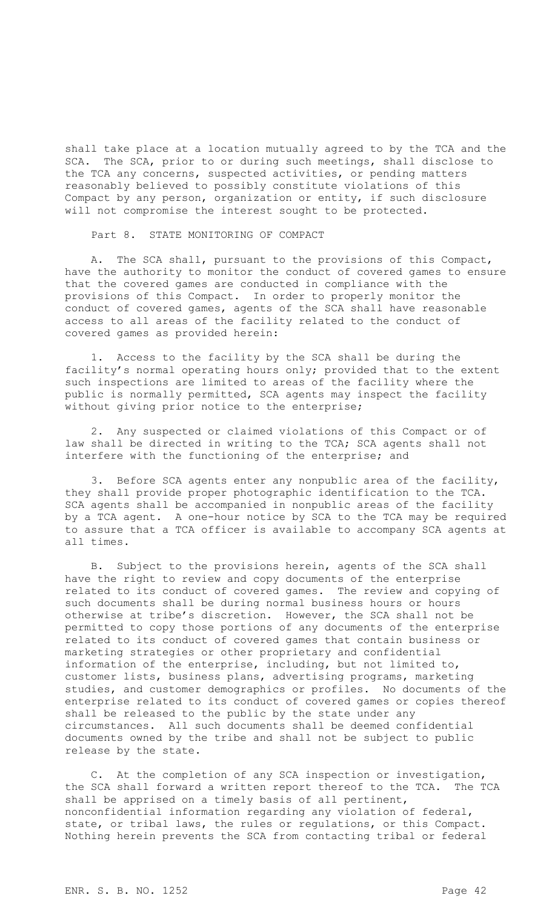shall take place at a location mutually agreed to by the TCA and the SCA. The SCA, prior to or during such meetings, shall disclose to the TCA any concerns, suspected activities, or pending matters reasonably believed to possibly constitute violations of this Compact by any person, organization or entity, if such disclosure will not compromise the interest sought to be protected.

Part 8. STATE MONITORING OF COMPACT

A. The SCA shall, pursuant to the provisions of this Compact, have the authority to monitor the conduct of covered games to ensure that the covered games are conducted in compliance with the provisions of this Compact. In order to properly monitor the conduct of covered games, agents of the SCA shall have reasonable access to all areas of the facility related to the conduct of covered games as provided herein:

1. Access to the facility by the SCA shall be during the facility's normal operating hours only; provided that to the extent such inspections are limited to areas of the facility where the public is normally permitted, SCA agents may inspect the facility without giving prior notice to the enterprise;

2. Any suspected or claimed violations of this Compact or of law shall be directed in writing to the TCA; SCA agents shall not interfere with the functioning of the enterprise; and

3. Before SCA agents enter any nonpublic area of the facility, they shall provide proper photographic identification to the TCA. SCA agents shall be accompanied in nonpublic areas of the facility by a TCA agent. A one-hour notice by SCA to the TCA may be required to assure that a TCA officer is available to accompany SCA agents at all times.

B. Subject to the provisions herein, agents of the SCA shall have the right to review and copy documents of the enterprise related to its conduct of covered games. The review and copying of such documents shall be during normal business hours or hours otherwise at tribe's discretion. However, the SCA shall not be permitted to copy those portions of any documents of the enterprise related to its conduct of covered games that contain business or marketing strategies or other proprietary and confidential information of the enterprise, including, but not limited to, customer lists, business plans, advertising programs, marketing studies, and customer demographics or profiles. No documents of the enterprise related to its conduct of covered games or copies thereof shall be released to the public by the state under any circumstances. All such documents shall be deemed confidential documents owned by the tribe and shall not be subject to public release by the state.

C. At the completion of any SCA inspection or investigation, the SCA shall forward a written report thereof to the TCA. The TCA shall be apprised on a timely basis of all pertinent, nonconfidential information regarding any violation of federal, state, or tribal laws, the rules or regulations, or this Compact. Nothing herein prevents the SCA from contacting tribal or federal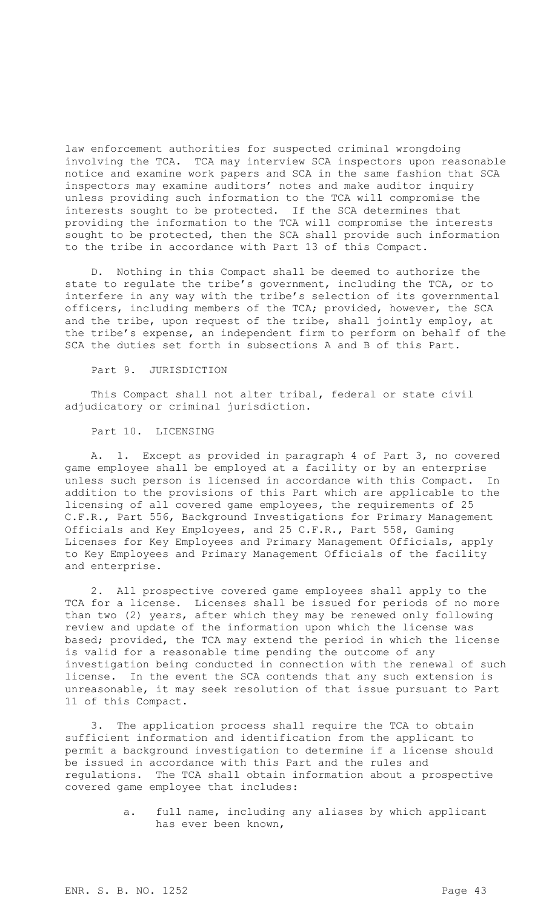law enforcement authorities for suspected criminal wrongdoing involving the TCA. TCA may interview SCA inspectors upon reasonable notice and examine work papers and SCA in the same fashion that SCA inspectors may examine auditors' notes and make auditor inquiry unless providing such information to the TCA will compromise the interests sought to be protected. If the SCA determines that providing the information to the TCA will compromise the interests sought to be protected, then the SCA shall provide such information to the tribe in accordance with Part 13 of this Compact.

D. Nothing in this Compact shall be deemed to authorize the state to regulate the tribe's government, including the TCA, or to interfere in any way with the tribe's selection of its governmental officers, including members of the TCA; provided, however, the SCA and the tribe, upon request of the tribe, shall jointly employ, at the tribe's expense, an independent firm to perform on behalf of the SCA the duties set forth in subsections A and B of this Part.

## Part 9. JURISDICTION

This Compact shall not alter tribal, federal or state civil adjudicatory or criminal jurisdiction.

## Part 10. LICENSING

A. 1. Except as provided in paragraph 4 of Part 3, no covered game employee shall be employed at a facility or by an enterprise unless such person is licensed in accordance with this Compact. In addition to the provisions of this Part which are applicable to the licensing of all covered game employees, the requirements of 25 C.F.R., Part 556, Background Investigations for Primary Management Officials and Key Employees, and 25 C.F.R., Part 558, Gaming Licenses for Key Employees and Primary Management Officials, apply to Key Employees and Primary Management Officials of the facility and enterprise.

2. All prospective covered game employees shall apply to the TCA for a license. Licenses shall be issued for periods of no more than two (2) years, after which they may be renewed only following review and update of the information upon which the license was based; provided, the TCA may extend the period in which the license is valid for a reasonable time pending the outcome of any investigation being conducted in connection with the renewal of such license. In the event the SCA contends that any such extension is unreasonable, it may seek resolution of that issue pursuant to Part 11 of this Compact.

3. The application process shall require the TCA to obtain sufficient information and identification from the applicant to permit a background investigation to determine if a license should be issued in accordance with this Part and the rules and regulations. The TCA shall obtain information about a prospective covered game employee that includes:

> a. full name, including any aliases by which applicant has ever been known,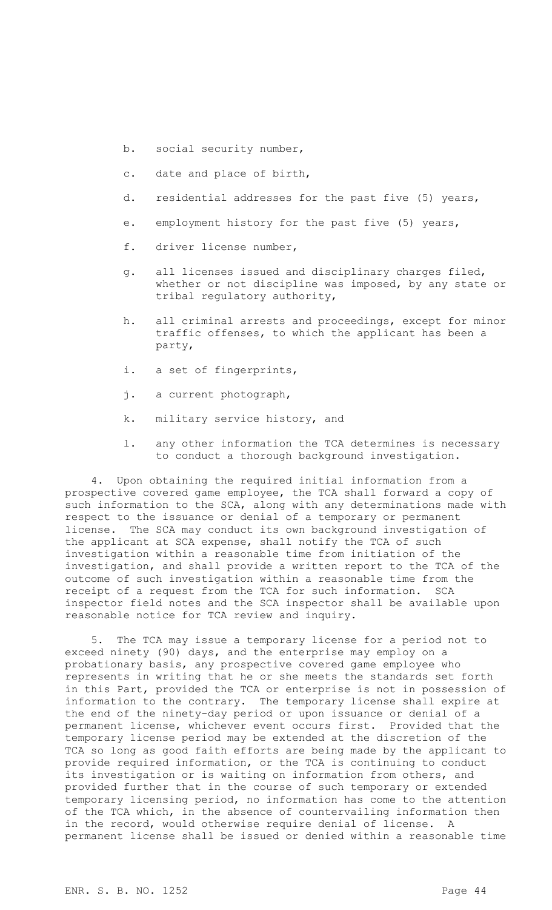- b. social security number,
- c. date and place of birth,
- d. residential addresses for the past five (5) years,
- e. employment history for the past five (5) years,
- f. driver license number,
- g. all licenses issued and disciplinary charges filed, whether or not discipline was imposed, by any state or tribal regulatory authority,
- h. all criminal arrests and proceedings, except for minor traffic offenses, to which the applicant has been a party,
- i. a set of fingerprints,
- j. a current photograph,
- k. military service history, and
- l. any other information the TCA determines is necessary to conduct a thorough background investigation.

4. Upon obtaining the required initial information from a prospective covered game employee, the TCA shall forward a copy of such information to the SCA, along with any determinations made with respect to the issuance or denial of a temporary or permanent license. The SCA may conduct its own background investigation of the applicant at SCA expense, shall notify the TCA of such investigation within a reasonable time from initiation of the investigation, and shall provide a written report to the TCA of the outcome of such investigation within a reasonable time from the receipt of a request from the TCA for such information. SCA inspector field notes and the SCA inspector shall be available upon reasonable notice for TCA review and inquiry.

The TCA may issue a temporary license for a period not to exceed ninety (90) days, and the enterprise may employ on a probationary basis, any prospective covered game employee who represents in writing that he or she meets the standards set forth in this Part, provided the TCA or enterprise is not in possession of information to the contrary. The temporary license shall expire at the end of the ninety-day period or upon issuance or denial of a permanent license, whichever event occurs first. Provided that the temporary license period may be extended at the discretion of the TCA so long as good faith efforts are being made by the applicant to provide required information, or the TCA is continuing to conduct its investigation or is waiting on information from others, and provided further that in the course of such temporary or extended temporary licensing period, no information has come to the attention of the TCA which, in the absence of countervailing information then in the record, would otherwise require denial of license. permanent license shall be issued or denied within a reasonable time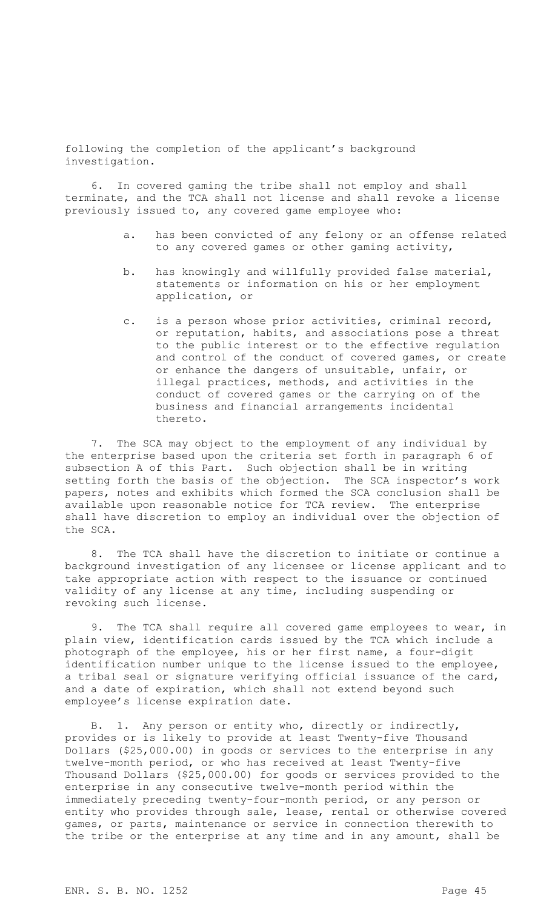following the completion of the applicant's background investigation.

6. In covered gaming the tribe shall not employ and shall terminate, and the TCA shall not license and shall revoke a license previously issued to, any covered game employee who:

- a. has been convicted of any felony or an offense related to any covered games or other gaming activity,
- b. has knowingly and willfully provided false material, statements or information on his or her employment application, or
- c. is a person whose prior activities, criminal record, or reputation, habits, and associations pose a threat to the public interest or to the effective regulation and control of the conduct of covered games, or create or enhance the dangers of unsuitable, unfair, or illegal practices, methods, and activities in the conduct of covered games or the carrying on of the business and financial arrangements incidental thereto.

7. The SCA may object to the employment of any individual by the enterprise based upon the criteria set forth in paragraph 6 of subsection A of this Part. Such objection shall be in writing setting forth the basis of the objection. The SCA inspector's work papers, notes and exhibits which formed the SCA conclusion shall be available upon reasonable notice for TCA review. The enterprise shall have discretion to employ an individual over the objection of the SCA.

8. The TCA shall have the discretion to initiate or continue a background investigation of any licensee or license applicant and to take appropriate action with respect to the issuance or continued validity of any license at any time, including suspending or revoking such license.

9. The TCA shall require all covered game employees to wear, in plain view, identification cards issued by the TCA which include a photograph of the employee, his or her first name, a four-digit identification number unique to the license issued to the employee, a tribal seal or signature verifying official issuance of the card, and a date of expiration, which shall not extend beyond such employee's license expiration date.

B. 1. Any person or entity who, directly or indirectly, provides or is likely to provide at least Twenty-five Thousand Dollars (\$25,000.00) in goods or services to the enterprise in any twelve-month period, or who has received at least Twenty-five Thousand Dollars (\$25,000.00) for goods or services provided to the enterprise in any consecutive twelve-month period within the immediately preceding twenty-four-month period, or any person or entity who provides through sale, lease, rental or otherwise covered games, or parts, maintenance or service in connection therewith to the tribe or the enterprise at any time and in any amount, shall be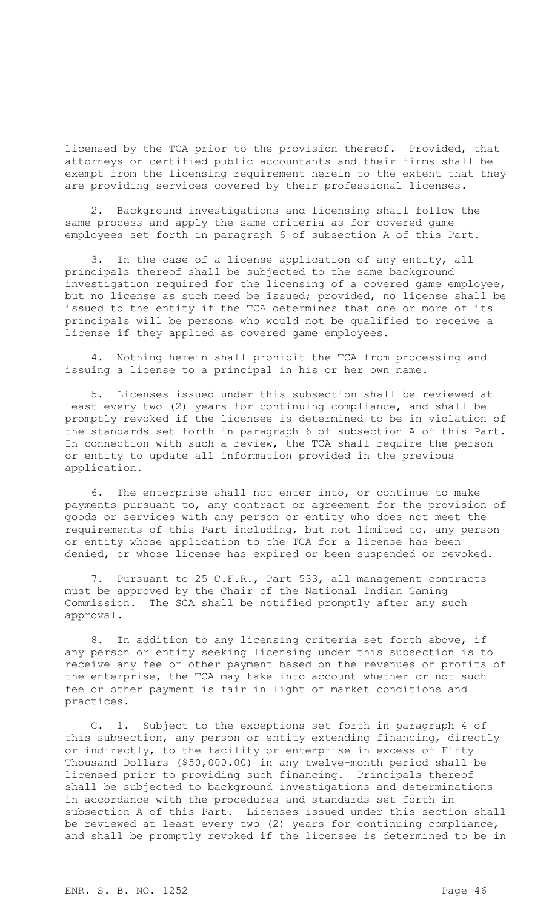licensed by the TCA prior to the provision thereof. Provided, that attorneys or certified public accountants and their firms shall be exempt from the licensing requirement herein to the extent that they are providing services covered by their professional licenses.

2. Background investigations and licensing shall follow the same process and apply the same criteria as for covered game employees set forth in paragraph 6 of subsection A of this Part.

3. In the case of a license application of any entity, all principals thereof shall be subjected to the same background investigation required for the licensing of a covered game employee, but no license as such need be issued; provided, no license shall be issued to the entity if the TCA determines that one or more of its principals will be persons who would not be qualified to receive a license if they applied as covered game employees.

4. Nothing herein shall prohibit the TCA from processing and issuing a license to a principal in his or her own name.

5. Licenses issued under this subsection shall be reviewed at least every two (2) years for continuing compliance, and shall be promptly revoked if the licensee is determined to be in violation of the standards set forth in paragraph 6 of subsection A of this Part. In connection with such a review, the TCA shall require the person or entity to update all information provided in the previous application.

6. The enterprise shall not enter into, or continue to make payments pursuant to, any contract or agreement for the provision of goods or services with any person or entity who does not meet the requirements of this Part including, but not limited to, any person or entity whose application to the TCA for a license has been denied, or whose license has expired or been suspended or revoked.

7. Pursuant to 25 C.F.R., Part 533, all management contracts must be approved by the Chair of the National Indian Gaming Commission. The SCA shall be notified promptly after any such approval.

8. In addition to any licensing criteria set forth above, if any person or entity seeking licensing under this subsection is to receive any fee or other payment based on the revenues or profits of the enterprise, the TCA may take into account whether or not such fee or other payment is fair in light of market conditions and practices.

C. 1. Subject to the exceptions set forth in paragraph 4 of this subsection, any person or entity extending financing, directly or indirectly, to the facility or enterprise in excess of Fifty Thousand Dollars (\$50,000.00) in any twelve-month period shall be licensed prior to providing such financing. Principals thereof shall be subjected to background investigations and determinations in accordance with the procedures and standards set forth in subsection A of this Part. Licenses issued under this section shall be reviewed at least every two (2) years for continuing compliance, and shall be promptly revoked if the licensee is determined to be in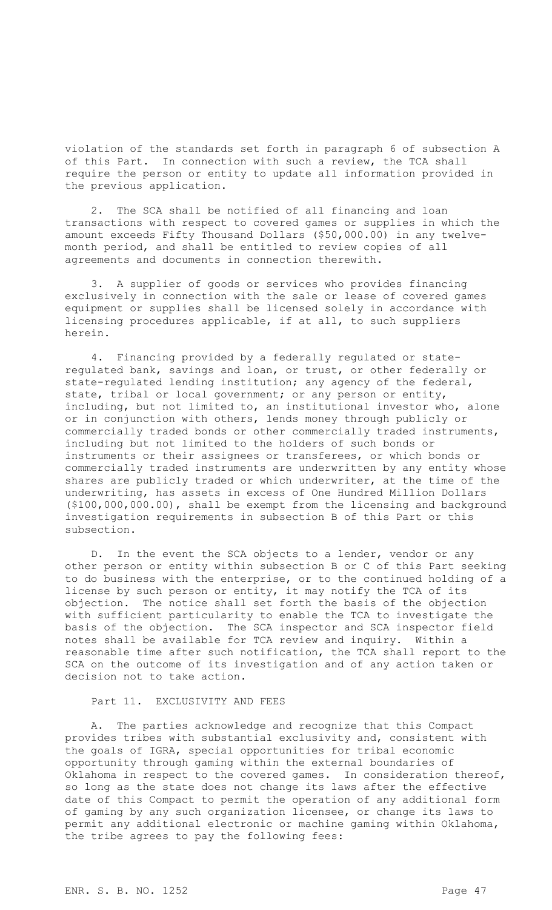violation of the standards set forth in paragraph 6 of subsection A of this Part. In connection with such a review, the TCA shall require the person or entity to update all information provided in the previous application.

2. The SCA shall be notified of all financing and loan transactions with respect to covered games or supplies in which the amount exceeds Fifty Thousand Dollars (\$50,000.00) in any twelvemonth period, and shall be entitled to review copies of all agreements and documents in connection therewith.

3. A supplier of goods or services who provides financing exclusively in connection with the sale or lease of covered games equipment or supplies shall be licensed solely in accordance with licensing procedures applicable, if at all, to such suppliers herein.

4. Financing provided by a federally regulated or stateregulated bank, savings and loan, or trust, or other federally or state-regulated lending institution; any agency of the federal, state, tribal or local government; or any person or entity, including, but not limited to, an institutional investor who, alone or in conjunction with others, lends money through publicly or commercially traded bonds or other commercially traded instruments, including but not limited to the holders of such bonds or instruments or their assignees or transferees, or which bonds or commercially traded instruments are underwritten by any entity whose shares are publicly traded or which underwriter, at the time of the underwriting, has assets in excess of One Hundred Million Dollars (\$100,000,000.00), shall be exempt from the licensing and background investigation requirements in subsection B of this Part or this subsection.

D. In the event the SCA objects to a lender, vendor or any other person or entity within subsection B or C of this Part seeking to do business with the enterprise, or to the continued holding of a license by such person or entity, it may notify the TCA of its objection. The notice shall set forth the basis of the objection with sufficient particularity to enable the TCA to investigate the basis of the objection. The SCA inspector and SCA inspector field notes shall be available for TCA review and inquiry. Within a reasonable time after such notification, the TCA shall report to the SCA on the outcome of its investigation and of any action taken or decision not to take action.

Part 11. EXCLUSIVITY AND FEES

A. The parties acknowledge and recognize that this Compact provides tribes with substantial exclusivity and, consistent with the goals of IGRA, special opportunities for tribal economic opportunity through gaming within the external boundaries of Oklahoma in respect to the covered games. In consideration thereof, so long as the state does not change its laws after the effective date of this Compact to permit the operation of any additional form of gaming by any such organization licensee, or change its laws to permit any additional electronic or machine gaming within Oklahoma, the tribe agrees to pay the following fees: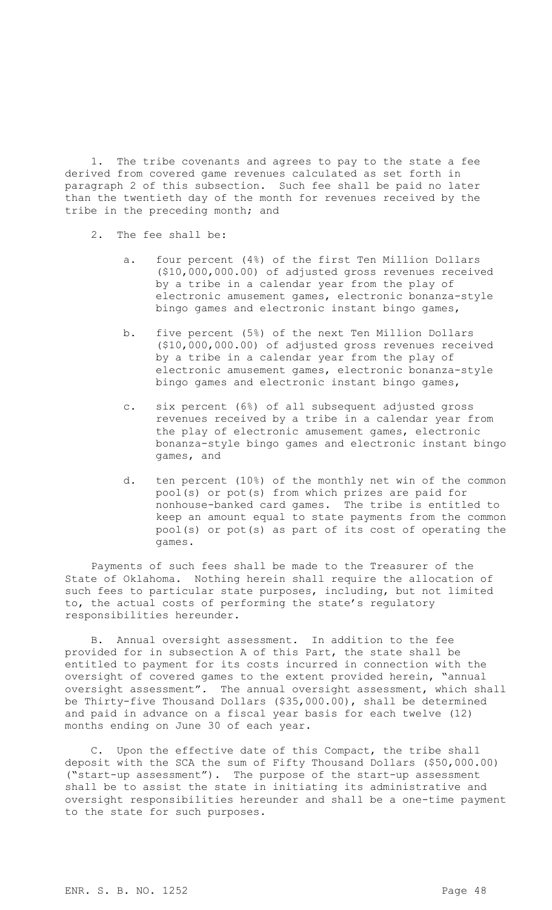1. The tribe covenants and agrees to pay to the state a fee derived from covered game revenues calculated as set forth in paragraph 2 of this subsection. Such fee shall be paid no later than the twentieth day of the month for revenues received by the tribe in the preceding month; and

- 2. The fee shall be:
	- a. four percent (4%) of the first Ten Million Dollars (\$10,000,000.00) of adjusted gross revenues received by a tribe in a calendar year from the play of electronic amusement games, electronic bonanza-style bingo games and electronic instant bingo games,
	- b. five percent (5%) of the next Ten Million Dollars (\$10,000,000.00) of adjusted gross revenues received by a tribe in a calendar year from the play of electronic amusement games, electronic bonanza-style bingo games and electronic instant bingo games,
	- c. six percent (6%) of all subsequent adjusted gross revenues received by a tribe in a calendar year from the play of electronic amusement games, electronic bonanza-style bingo games and electronic instant bingo games, and
	- d. ten percent (10%) of the monthly net win of the common pool(s) or pot(s) from which prizes are paid for nonhouse-banked card games. The tribe is entitled to keep an amount equal to state payments from the common pool(s) or pot(s) as part of its cost of operating the games.

Payments of such fees shall be made to the Treasurer of the State of Oklahoma. Nothing herein shall require the allocation of such fees to particular state purposes, including, but not limited to, the actual costs of performing the state's regulatory responsibilities hereunder.

B. Annual oversight assessment. In addition to the fee provided for in subsection A of this Part, the state shall be entitled to payment for its costs incurred in connection with the oversight of covered games to the extent provided herein, "annual oversight assessment". The annual oversight assessment, which shall be Thirty-five Thousand Dollars (\$35,000.00), shall be determined and paid in advance on a fiscal year basis for each twelve (12) months ending on June 30 of each year.

C. Upon the effective date of this Compact, the tribe shall deposit with the SCA the sum of Fifty Thousand Dollars (\$50,000.00) ("start-up assessment"). The purpose of the start-up assessment shall be to assist the state in initiating its administrative and oversight responsibilities hereunder and shall be a one-time payment to the state for such purposes.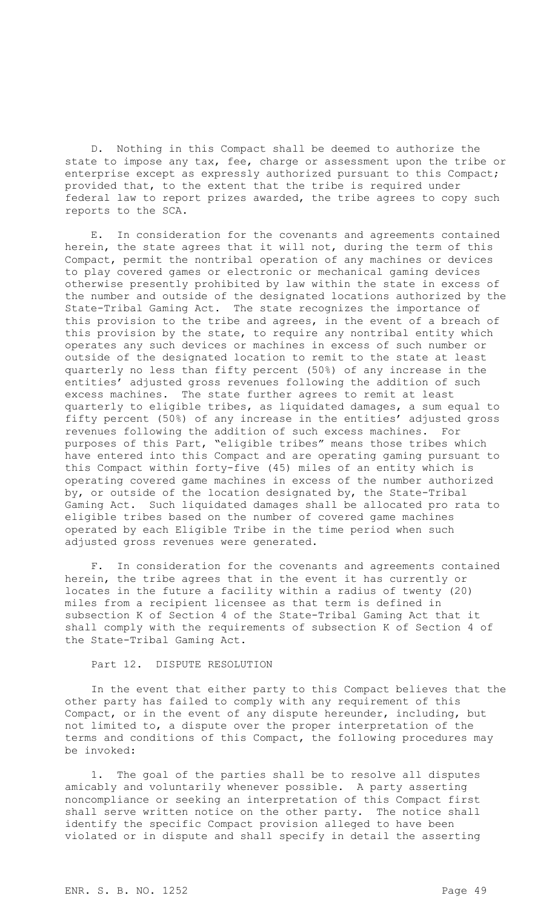D. Nothing in this Compact shall be deemed to authorize the state to impose any tax, fee, charge or assessment upon the tribe or enterprise except as expressly authorized pursuant to this Compact; provided that, to the extent that the tribe is required under federal law to report prizes awarded, the tribe agrees to copy such reports to the SCA.

E. In consideration for the covenants and agreements contained herein, the state agrees that it will not, during the term of this Compact, permit the nontribal operation of any machines or devices to play covered games or electronic or mechanical gaming devices otherwise presently prohibited by law within the state in excess of the number and outside of the designated locations authorized by the State-Tribal Gaming Act. The state recognizes the importance of this provision to the tribe and agrees, in the event of a breach of this provision by the state, to require any nontribal entity which operates any such devices or machines in excess of such number or outside of the designated location to remit to the state at least quarterly no less than fifty percent (50%) of any increase in the entities' adjusted gross revenues following the addition of such excess machines. The state further agrees to remit at least quarterly to eligible tribes, as liquidated damages, a sum equal to fifty percent (50%) of any increase in the entities' adjusted gross revenues following the addition of such excess machines. For purposes of this Part, "eligible tribes" means those tribes which have entered into this Compact and are operating gaming pursuant to this Compact within forty-five (45) miles of an entity which is operating covered game machines in excess of the number authorized by, or outside of the location designated by, the State-Tribal Gaming Act. Such liquidated damages shall be allocated pro rata to eligible tribes based on the number of covered game machines operated by each Eligible Tribe in the time period when such adjusted gross revenues were generated.

F. In consideration for the covenants and agreements contained herein, the tribe agrees that in the event it has currently or locates in the future a facility within a radius of twenty (20) miles from a recipient licensee as that term is defined in subsection K of Section 4 of the State-Tribal Gaming Act that it shall comply with the requirements of subsection K of Section 4 of the State-Tribal Gaming Act.

Part 12. DISPUTE RESOLUTION

In the event that either party to this Compact believes that the other party has failed to comply with any requirement of this Compact, or in the event of any dispute hereunder, including, but not limited to, a dispute over the proper interpretation of the terms and conditions of this Compact, the following procedures may be invoked:

1. The goal of the parties shall be to resolve all disputes amicably and voluntarily whenever possible. A party asserting noncompliance or seeking an interpretation of this Compact first shall serve written notice on the other party. The notice shall identify the specific Compact provision alleged to have been violated or in dispute and shall specify in detail the asserting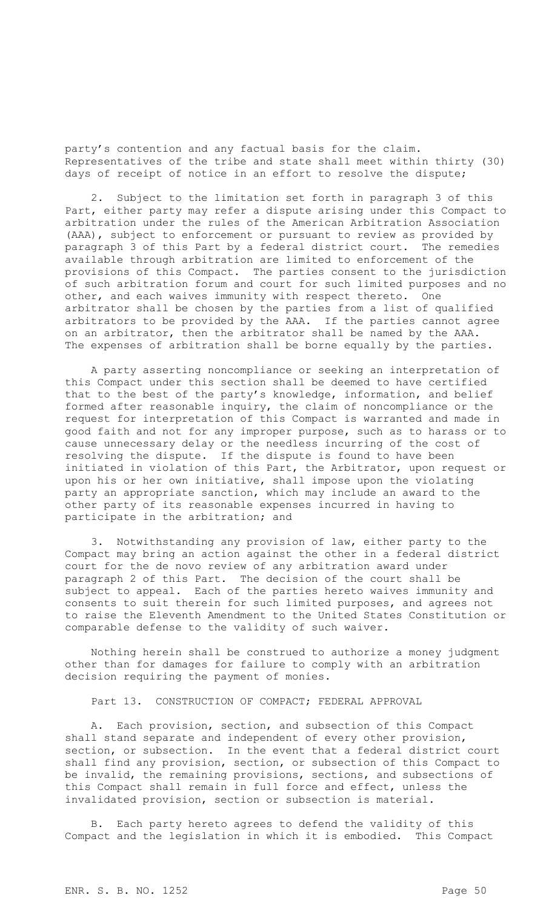party's contention and any factual basis for the claim. Representatives of the tribe and state shall meet within thirty (30) days of receipt of notice in an effort to resolve the dispute;

2. Subject to the limitation set forth in paragraph 3 of this Part, either party may refer a dispute arising under this Compact to arbitration under the rules of the American Arbitration Association (AAA), subject to enforcement or pursuant to review as provided by paragraph 3 of this Part by a federal district court. The remedies available through arbitration are limited to enforcement of the provisions of this Compact. The parties consent to the jurisdiction of such arbitration forum and court for such limited purposes and no other, and each waives immunity with respect thereto. One arbitrator shall be chosen by the parties from a list of qualified arbitrators to be provided by the AAA. If the parties cannot agree on an arbitrator, then the arbitrator shall be named by the AAA. The expenses of arbitration shall be borne equally by the parties.

A party asserting noncompliance or seeking an interpretation of this Compact under this section shall be deemed to have certified that to the best of the party's knowledge, information, and belief formed after reasonable inquiry, the claim of noncompliance or the request for interpretation of this Compact is warranted and made in good faith and not for any improper purpose, such as to harass or to cause unnecessary delay or the needless incurring of the cost of resolving the dispute. If the dispute is found to have been initiated in violation of this Part, the Arbitrator, upon request or upon his or her own initiative, shall impose upon the violating party an appropriate sanction, which may include an award to the other party of its reasonable expenses incurred in having to participate in the arbitration; and

3. Notwithstanding any provision of law, either party to the Compact may bring an action against the other in a federal district court for the de novo review of any arbitration award under paragraph 2 of this Part. The decision of the court shall be subject to appeal. Each of the parties hereto waives immunity and consents to suit therein for such limited purposes, and agrees not to raise the Eleventh Amendment to the United States Constitution or comparable defense to the validity of such waiver.

Nothing herein shall be construed to authorize a money judgment other than for damages for failure to comply with an arbitration decision requiring the payment of monies.

Part 13. CONSTRUCTION OF COMPACT; FEDERAL APPROVAL

A. Each provision, section, and subsection of this Compact shall stand separate and independent of every other provision, section, or subsection. In the event that a federal district court shall find any provision, section, or subsection of this Compact to be invalid, the remaining provisions, sections, and subsections of this Compact shall remain in full force and effect, unless the invalidated provision, section or subsection is material.

B. Each party hereto agrees to defend the validity of this Compact and the legislation in which it is embodied. This Compact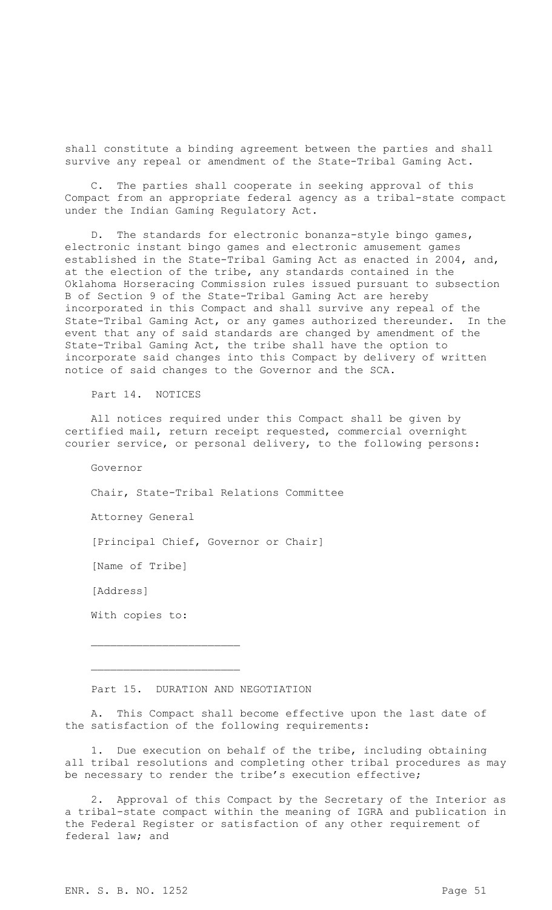shall constitute a binding agreement between the parties and shall survive any repeal or amendment of the State-Tribal Gaming Act.

C. The parties shall cooperate in seeking approval of this Compact from an appropriate federal agency as a tribal-state compact under the Indian Gaming Regulatory Act.

D. The standards for electronic bonanza-style bingo games, electronic instant bingo games and electronic amusement games established in the State-Tribal Gaming Act as enacted in 2004, and, at the election of the tribe, any standards contained in the Oklahoma Horseracing Commission rules issued pursuant to subsection B of Section 9 of the State-Tribal Gaming Act are hereby incorporated in this Compact and shall survive any repeal of the State-Tribal Gaming Act, or any games authorized thereunder. In the event that any of said standards are changed by amendment of the State-Tribal Gaming Act, the tribe shall have the option to incorporate said changes into this Compact by delivery of written notice of said changes to the Governor and the SCA.

Part 14. NOTICES

All notices required under this Compact shall be given by certified mail, return receipt requested, commercial overnight courier service, or personal delivery, to the following persons:

Governor

Chair, State-Tribal Relations Committee

Attorney General

[Principal Chief, Governor or Chair]

[Name of Tribe]

[Address]

With copies to:

 $\overline{\phantom{a}}$  , where  $\overline{\phantom{a}}$  , where  $\overline{\phantom{a}}$  , where  $\overline{\phantom{a}}$ 

 $\overline{\phantom{a}}$  , where  $\overline{\phantom{a}}$  , where  $\overline{\phantom{a}}$  , where  $\overline{\phantom{a}}$ 

Part 15. DURATION AND NEGOTIATION

A. This Compact shall become effective upon the last date of the satisfaction of the following requirements:

1. Due execution on behalf of the tribe, including obtaining all tribal resolutions and completing other tribal procedures as may be necessary to render the tribe's execution effective;

2. Approval of this Compact by the Secretary of the Interior as a tribal-state compact within the meaning of IGRA and publication in the Federal Register or satisfaction of any other requirement of federal law; and